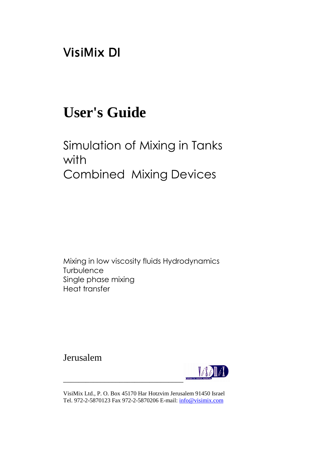# VisiMix DI

# **User's Guide**

# Simulation of Mixing in Tanks with Combined Mixing Devices

Mixing in low viscosity fluids Hydrodynamics **Turbulence** Single phase mixing Heat transfer

Jerusalem



VisiMix Ltd., P. O. Box 45170 Har Hotzvim Jerusalem 91450 Israel Tel. 972-2-5870123 Fax 972-2-5870206 E-mail: info@visimix.com

\_\_\_\_\_\_\_\_\_\_\_\_\_\_\_\_\_\_\_\_\_\_\_\_\_\_\_\_\_\_\_\_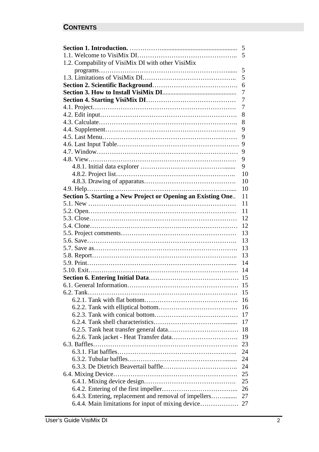# **CONTENTS**

|                                                              | 5  |
|--------------------------------------------------------------|----|
|                                                              | 5  |
| 1.2. Compability of VisiMix DI with other VisiMix            |    |
|                                                              | 5  |
|                                                              | 5  |
|                                                              | 6  |
|                                                              | 7  |
|                                                              | 7  |
|                                                              | 7  |
|                                                              | 8  |
|                                                              | 8  |
|                                                              | 9  |
|                                                              | 9  |
|                                                              | 9  |
|                                                              | 9  |
|                                                              | 9  |
|                                                              | 9  |
|                                                              | 10 |
|                                                              | 10 |
|                                                              | 10 |
| Section 5. Starting a New Project or Opening an Existing One | 11 |
|                                                              | 11 |
|                                                              | 11 |
|                                                              | 12 |
|                                                              | 12 |
|                                                              | 13 |
|                                                              | 13 |
|                                                              | 13 |
|                                                              | 13 |
|                                                              | 14 |
|                                                              | 14 |
|                                                              | 15 |
|                                                              | 15 |
|                                                              | 15 |
|                                                              | 16 |
|                                                              | 16 |
|                                                              | 17 |
|                                                              | 17 |
|                                                              | 18 |
|                                                              | 19 |
|                                                              | 23 |
|                                                              | 24 |
|                                                              | 24 |
|                                                              | 24 |
|                                                              | 25 |
|                                                              | 25 |
|                                                              | 26 |
| 6.4.3. Entering, replacement and removal of impellers        | 27 |
| 6.4.4. Main limitations for input of mixing device           | 27 |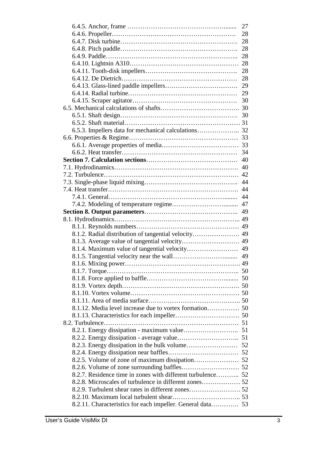|                                                             | 27 |
|-------------------------------------------------------------|----|
|                                                             | 28 |
|                                                             | 28 |
|                                                             | 28 |
|                                                             | 28 |
|                                                             | 28 |
|                                                             | 28 |
|                                                             | 28 |
|                                                             | 29 |
|                                                             | 29 |
|                                                             | 30 |
|                                                             |    |
|                                                             |    |
|                                                             |    |
|                                                             |    |
|                                                             |    |
|                                                             |    |
|                                                             | 34 |
|                                                             | 40 |
|                                                             | 40 |
|                                                             | 42 |
|                                                             | 44 |
|                                                             | 44 |
|                                                             | 44 |
|                                                             | 47 |
|                                                             | 49 |
|                                                             | 49 |
|                                                             |    |
| 8.1.2. Radial distribution of tangential velocity 49        |    |
|                                                             |    |
|                                                             | 49 |
|                                                             | 49 |
|                                                             |    |
|                                                             |    |
|                                                             |    |
|                                                             |    |
|                                                             |    |
|                                                             |    |
|                                                             |    |
|                                                             |    |
|                                                             |    |
|                                                             |    |
|                                                             |    |
|                                                             |    |
|                                                             |    |
|                                                             |    |
|                                                             |    |
| 8.2.7. Residence time in zones with different turbulence 52 |    |
|                                                             |    |
|                                                             |    |
|                                                             |    |
| 8.2.11. Characteristics for each impeller. General data 53  |    |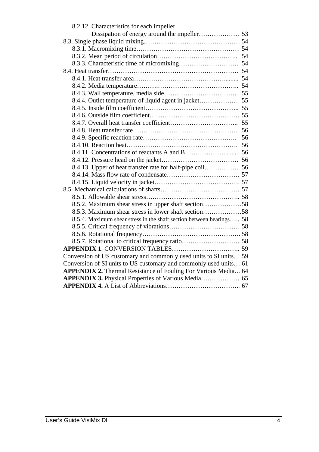| 8.2.12. Characteristics for each impeller.                           |    |
|----------------------------------------------------------------------|----|
|                                                                      |    |
|                                                                      |    |
|                                                                      |    |
|                                                                      |    |
|                                                                      |    |
|                                                                      |    |
|                                                                      |    |
|                                                                      |    |
|                                                                      |    |
|                                                                      |    |
|                                                                      |    |
|                                                                      |    |
|                                                                      | 55 |
|                                                                      | 56 |
|                                                                      | 56 |
|                                                                      |    |
|                                                                      |    |
|                                                                      |    |
| 8.4.13. Upper of heat transfer rate for half-pipe coil 56            |    |
|                                                                      |    |
|                                                                      |    |
|                                                                      |    |
|                                                                      |    |
| 8.5.2. Maximum shear stress in upper shaft section58                 |    |
| 8.5.3. Maximum shear stress in lower shaft section58                 |    |
| 8.5.4. Maximum shear stress in the shaft section between bearings 58 |    |
|                                                                      |    |
|                                                                      |    |
|                                                                      |    |
|                                                                      |    |
| Conversion of US customary and commonly used units to SI units 59    |    |
| Conversion of SI units to US customary and commonly used units 61    |    |
| APPENDIX 2. Thermal Resistance of Fouling For Various Media 64       |    |
| APPENDIX 3. Physical Properties of Various Media 65                  |    |
|                                                                      |    |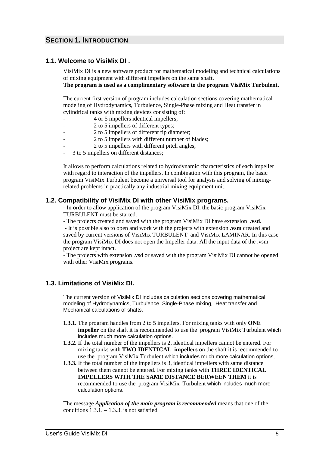# **SECTION 1. INTRODUCTION**

# **1.1. Welcome to VisiMix DI .**

VisiMix DI is a new software product for mathematical modeling and technical calculations of mixing equipment with different impellers on the same shaft. **The program is used as a complimentary software to the program VisiMix Turbulent.** 

The current first version of program includes calculation sections covering mathematical modeling of Hydrodynamics, Turbulence, Single-Phase mixing and Heat transfer in cylindrical tanks with mixing devices consisting of:

- 4 or 5 impellers identical impellers;
- 2 to 5 impellers of different types;
- 2 to 5 impellers of different tip diameter;
- 2 to 5 impellers with different number of blades;
- 2 to 5 impellers with different pitch angles;
- 3 to 5 impellers on different distances;

It allows to perform calculations related to hydrodynamic characteristics of each impeller with regard to interaction of the impellers. In combination with this program, the basic program VisiMix Turbulent become a universal tool for analysis and solving of mixingrelated problems in practically any industrial mixing equipment unit.

# **1.2. Compatibility of VisiMix DI with other VisiMix programs.**

- In order to allow application of the program VisiMix DI, the basic program VisiMix TURBULENT must be started.

- The projects created and saved with the program VisiMix DI have extension **.vsd**.

 - It is possible also to open and work with the projects with extension **.vsm** created and saved by current versions of VisiMix TURBULENT and VisiMix LAMINAR. In this case the program VisiMix DI does not open the Impeller data. All the input data of the .vsm project are kept intact.

- The projects with extension .vsd or saved with the program VisiMix DI cannot be opened with other VisiMix programs.

# **1.3. Limitations of VisiMix DI.**

The current version of VisiMix DI includes calculation sections covering mathematical modeling of Hydrodynamics, Turbulence, Single-Phase mixing, Heat transfer and Mechanical calculations of shafts.

- **1.3.1.** The program handles from 2 to 5 impellers. For mixing tanks with only **ONE impeller** on the shaft it is recommended to use the program VisiMix Turbulent which includes much more calculation options.
- **1.3.2.** If the total number of the impellers is 2, identical impellers cannot be entered. For mixing tanks with **TWO IDENTICAL impellers** on the shaft it is recommended to use the program VisiMix Turbulent which includes much more calculation options.
- **1.3.3.** If the total number of the impellers is 3, identical impellers with same distance between them cannot be entered. For mixing tanks with **THREE IDENTICAL IMPELLERS WITH THE SAME DISTANCE BERWEEN THEM** it is recommended to use the program VisiMix Turbulent which includes much more calculation options.

The message *Application of the main program is recommended* means that one of the conditions  $1.3.1 - 1.3.3$  is not satisfied.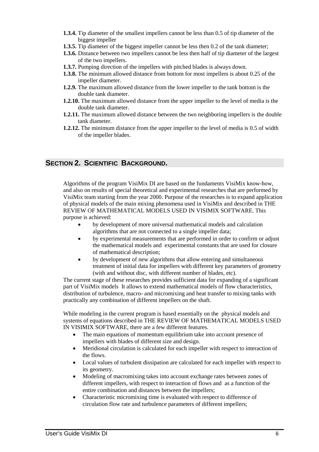- **1.3.4.** Tip diameter of the smallest impellers cannot be less than 0.5 of tip diameter of the biggest impeller
- **1.3.5.** Tip diameter of the biggest impeller cannot be less then 0.2 of the tank diameter;
- **1.3.6.** Distance between two impellers cannot be less then half of tip diameter of the largest of the two impellers.
- **1.3.7.** Pumping direction of the impellers with pitched blades is always down.
- **1.3.8.** The minimum allowed distance from bottom for most impellers is about 0.25 of the impeller diameter.
- **1.2.9.** The maximum allowed distance from the lower impeller to the tank bottom is the double tank diameter.
- **1.2.10.** The maximum allowed distance from the upper impeller to the level of media is the double tank diameter.
- **1.2.11.** The maximum allowed distance between the two neighboring impellers is the double tank diameter.
- **1.2.12.** The minimum distance from the upper impeller to the level of media is 0.5 of width of the impeller blades.

# **SECTION 2. SCIENTIFIC BACKGROUND.**

Algorithms of the program VisiMix DI are based on the fundaments VisiMix know-how, and also on results of special theoretical and experimental researches that are performed by VisiMix team starting from the year 2000. Purpose of the researches is to expand application of physical models of the main mixing phenomena used in VisiMix and described in THE REVIEW OF MATHEMATICAL MODELS USED IN VISIMIX SOFTWARE. This purpose is achieved:

- by development of more universal mathematical models and calculation algorithms that are not connected to a single impeller data;
- by experimental measurements that are performed in order to confirm or adjust the mathematical models and experimental constants that are used for closure of mathematical description;
- by development of new algorithms that allow entering and simultaneous treatment of initial data for impellers with different key parameters of geometry (with and without disc, with different number of blades, etc).

The current stage of these researches provides sufficient data for expanding of a significant part of VisiMix models It allows to extend mathematical models of flow characteristics, distribution of turbulence, macro- and micromixing and heat transfer to mixing tanks with practically any combination of different impellers on the shaft.

While modeling in the current program is based essentially on the physical models and systems of equations described in THE REVIEW OF MATHEMATICAL MODELS USED IN VISIMIX SOFTWARE, there are a few different features.

- The main equations of momentum equilibrium take into account presence of impellers with blades of different size and design.
- Meridional circulation is calculated for each impeller with respect to interaction of the flows.
- Local values of turbulent dissipation are calculated for each impeller with respect to its geometry.
- Modeling of macromixing takes into account exchange rates between zones of different impellers, with respect to interaction of flows and as a function of the entire combination and distances between the impellers;
- Characteristic micromixing time is evaluated with respect to difference of circulation flow rate and turbulence parameters of different impellers;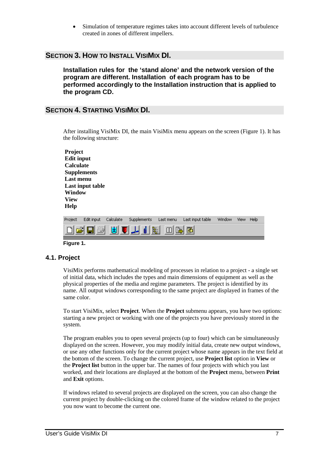• Simulation of temperature regimes takes into account different levels of turbulence created in zones of different impellers.

# **SECTION 3. HOW TO INSTALL VISIMIX DI.**

**Installation rules for the 'stand alone' and the network version of the program are different. Installation of each program has to be performed accordingly to the Installation instruction that is applied to the program CD.** 

# **SECTION 4. STARTING VISIMIX DI.**

After installing VisiMix DI, the main VisiMix menu appears on the screen (Figure 1). It has the following structure:

| <b>Project</b><br><b>Edit input</b><br><b>Calculate</b><br><b>Supplements</b><br>Last menu<br>Window<br><b>View</b><br>Help | Last input table |           |             |           |                  |        |      |      |
|-----------------------------------------------------------------------------------------------------------------------------|------------------|-----------|-------------|-----------|------------------|--------|------|------|
| Project                                                                                                                     | Edit input       | Calculate | Supplements | Last menu | Last input table | Window | View | Help |
|                                                                                                                             |                  | Ŧ         |             | हैं:<br>P | 圏                |        |      |      |

#### **Figure 1.**

## **4.1. Project**

VisiMix performs mathematical modeling of processes in relation to a project - a single set of initial data, which includes the types and main dimensions of equipment as well as the physical properties of the media and regime parameters. The project is identified by its name. All output windows corresponding to the same project are displayed in frames of the same color.

To start VisiMix, select **Project**. When the **Project** submenu appears, you have two options: starting a new project or working with one of the projects you have previously stored in the system.

The program enables you to open several projects (up to four) which can be simultaneously displayed on the screen. However, you may modify initial data, create new output windows, or use any other functions only for the current project whose name appears in the text field at the bottom of the screen. To change the current project, use **Project list** option in **View** or the **Project list** button in the upper bar. The names of four projects with which you last worked, and their locations are displayed at the bottom of the **Project** menu, between **Print** and **Exit** options.

If windows related to several projects are displayed on the screen, you can also change the current project by double-clicking on the colored frame of the window related to the project you now want to become the current one.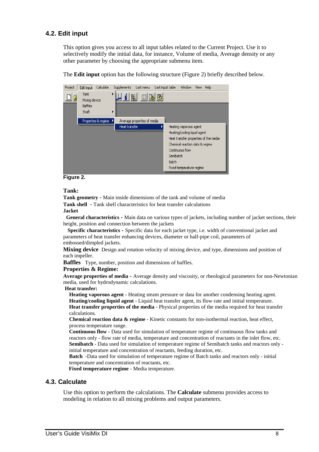# **4.2. Edit input**

This option gives you access to all input tables related to the Current Project. Use it to selectively modify the initial data, for instance, Volume of media, Average density or any other parameter by choosing the appropriate submenu item.

Last input table Project | Edit input Calculate Supplements Last menu Window View Help Tank 日后 m 隐 圈 Mixing device Baffles Shaft Properties & regime Average properties of media Heat transfer Heating vaporous agent Heating/cooling liquid agent Heat transfer properties of the media Chemical reaction data & regime Continuous flow Semibatch **Barch** Fixed temperature regime

The **Edit input** option has the following structure (Figure 2) briefly described below.

#### **Figure 2.**

#### **Tank:**

**Tank geometry** - Main inside dimensions of the tank and volume of media **Tank shell** - Tank shell characteristics for heat transfer calculations

#### **Jacket**

 **General characteristics -** Main data on various types of jackets, including number of jacket sections, their height, position and connection between the jackets

 **Specific characteristics -** Specific data for each jacket type, i.e. width of conventional jacket and parameters of heat transfer enhancing devices, diameter or half-pipe coil, parameters of embossed/dimpled jackets.

**Mixing device** Design and rotation velocity of mixing device, and type, dimensions and position of each impeller.

**Baffles** Type, number, position and dimensions of baffles.

#### **Properties & Regime:**

**Average properties of media -** Average density and viscosity, or rheological parameters for non-Newtonian media, used for hydrodynamic calculations.

#### **Heat transfer:**

 **Heating vaporous agent -** Heating steam pressure or data for another condensing heating agent.  **Heating/cooling liquid agent** - Liquid heat transfer agent, its flow rate and initial temperature.  **Heat transfer properties of the media** - Physical properties of the media required for heat transfer calculations.

 **Chemical reaction data & regime** - Kinetic constants for non-isothermal reaction, heat effect, process temperature range.

 **Continuous flow** - Data used for simulation of temperature regime of continuous flow tanks and reactors only - flow rate of media, temperature and concentration of reactants in the inlet flow, etc.  **Semibatch** - Data used for simulation of temperature regime of Semibatch tanks and reactors only initial temperature and concentration of reactants, feeding duration, etc.

 **Batch** -Data used for simulation of temperature regime of Batch tanks and reactors only - initial temperature and concentration of reactants, etc.

 **Fixed temperature regime** - Media temperature.

#### **4.3. Calculate**

Use this option to perform the calculations. The **Calculate** submenu provides access to modeling in relation to all mixing problems and output parameters.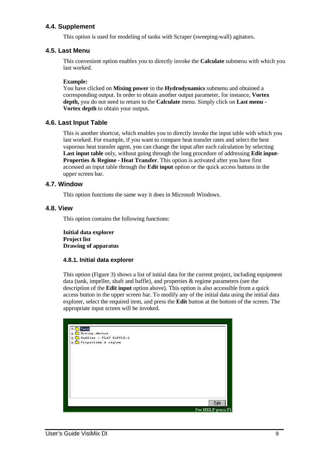# **4.4. Supplement**

This option is used for modeling of tanks with Scraper (sweeping-wall) agitators.

# **4.5. Last Menu**

This convenient option enables you to directly invoke the **Calculate** submenu with which you last worked.

## **Example:**

You have clicked on **Mixing power** in the **Hydrodynamics** submenu and obtained a corresponding output. In order to obtain another output parameter, for instance, **Vortex depth,** you do not need to return to the **Calculate** menu. Simply click on **Last menu - Vortex depth** to obtain your output**.**

# **4.6. Last Input Table**

This is another shortcut, which enables you to directly invoke the input table with which you last worked. For example, if you want to compare heat transfer rates and select the best vaporous heat transfer agent, you can change the input after each calculation by selecting **Last input table** only, without going through the long procedure of addressing **Edit input-Properties & Regime - Heat Transfer**. This option is activated after you have first accessed an input table through the **Edit input** option or the quick access buttons in the upper screen bar.

# **4.7. Window**

This option functions the same way it does in Microsoft Windows.

## **4.8. View**

This option contains the following functions:

**Initial data explorer Project list Drawing of apparatus** 

## **4.8.1. Initial data explorer**

This option (Figure 3) shows a list of initial data for the current project, including equipment data (tank, impeller, shaft and baffle), and properties & regime parameters (see the description of the **Edit input** option above). This option is also accessible from a quick access button in the upper screen bar. To modify any of the initial data using the initial data explorer, select the required item, and press the **Edit** button at the bottom of the screen. The appropriate input screen will be invoked.

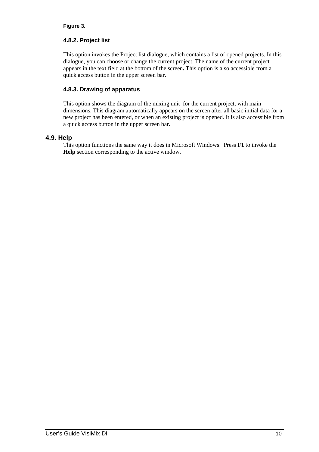# **Figure 3.**

# **4.8.2. Project list**

This option invokes the Project list dialogue, which contains a list of opened projects. In this dialogue, you can choose or change the current project. The name of the current project appears in the text field at the bottom of the screen**.** This option is also accessible from a quick access button in the upper screen bar.

# **4.8.3. Drawing of apparatus**

This option shows the diagram of the mixing unit for the current project, with main dimensions. This diagram automatically appears on the screen after all basic initial data for a new project has been entered, or when an existing project is opened. It is also accessible from a quick access button in the upper screen bar.

# **4.9. Help**

This option functions the same way it does in Microsoft Windows. Press **F1** to invoke the **Help** section corresponding to the active window.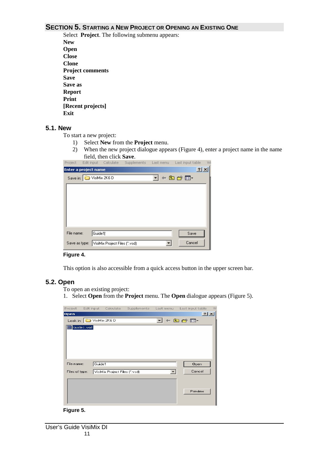# **SECTION 5. STARTING A NEW PROJECT OR OPENING AN EXISTING ONE**

Select **Project**. The following submenu appears: **New Open Close Clone Project comments Save Save as Report Print [Recent projects] Exit** 

#### **5.1. New**

To start a new project:

- 1) Select **New** from the **Project** menu.
- 2) When the new project dialogue appears (Figure 4), enter a project name in the name field, then click **Save**.

|            |                          |                                             |  | Project Edit input Calculate Supplements Last menu Last input table | W        |
|------------|--------------------------|---------------------------------------------|--|---------------------------------------------------------------------|----------|
|            | Enter a project name     |                                             |  | $\overline{?}$                                                      | $\times$ |
|            | Save in: C VisiMix 2K6 D |                                             |  | ਪ ⊕ © ∰ ⊡                                                           |          |
|            |                          |                                             |  |                                                                     |          |
|            |                          |                                             |  |                                                                     |          |
|            |                          |                                             |  |                                                                     |          |
|            |                          |                                             |  |                                                                     |          |
|            |                          |                                             |  |                                                                     |          |
| File name: | Guide1                   |                                             |  | Save                                                                |          |
|            |                          | Save as type: VisiMix Project Files (".vsd) |  | Cancel                                                              |          |

#### **Figure 4.**

This option is also accessible from a quick access button in the upper screen bar.

#### **5.2. Open**

To open an existing project:

1. Select **Open** from the **Project** menu. The **Open** dialogue appears (Figure 5).



#### **Figure 5.**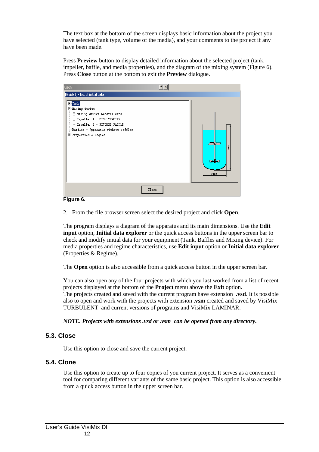The text box at the bottom of the screen displays basic information about the project you have selected (tank type, volume of the media), and your comments to the project if any have been made.

Press **Preview** button to display detailed information about the selected project (tank, impeller, baffle, and media properties), and the diagram of the mixing system (Figure 6). Press **Close** button at the bottom to exit the **Preview** dialogue.



#### **Figure 6.**

2. From the file browser screen select the desired project and click **Open**.

The program displays a diagram of the apparatus and its main dimensions. Use the **Edit input** option, **Initial data explorer** or the quick access buttons in the upper screen bar to check and modify initial data for your equipment (Tank, Baffles and Mixing device). For media properties and regime characteristics, use **Edit input** option or **Initial data explorer** (Properties & Regime).

The **Open** option is also accessible from a quick access button in the upper screen bar.

You can also open any of the four projects with which you last worked from a list of recent projects displayed at the bottom of the **Project** menu above the **Exit** option. The projects created and saved with the current program have extension **.vsd**. It is possible also to open and work with the projects with extension **.vsm** created and saved by VisiMix TURBULENT and current versions of programs and VisiMix LAMINAR.

*NOTE. Projects with extensions .vsd or .vsm can be opened from any directory.* 

# **5.3. Close**

Use this option to close and save the current project.

# **5.4. Clone**

Use this option to create up to four copies of you current project. It serves as a convenient tool for comparing different variants of the same basic project. This option is also accessible from a quick access button in the upper screen bar.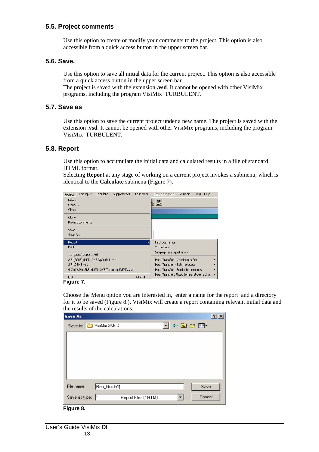# **5.5. Project comments**

Use this option to create or modify your comments to the project. This option is also accessible from a quick access button in the upper screen bar.

# **5.6. Save.**

Use this option to save all initial data for the current project. This option is also accessible from a quick access button in the upper screen bar.

The project is saved with the extension **.vsd**. It cannot be opened with other VisiMix programs, including the program VisiMix TURBULENT.

# **5.7. Save as**

Use this option to save the current project under a new name. The project is saved with the extension **.vsd**. It cannot be opened with other VisiMix programs, including the program VisiMix TURBULENT.

# **5.8. Report**

Use this option to accumulate the initial data and calculated results in a file of standard HTML format.

Selecting **Report** at any stage of working on a current project invokes a submenu, which is identical to the **Calculate** submenu (Figure 7).

| Project | Edit input                         | Calculate | <b>Supplements</b>                              | Last menu | Last input table                        | Window | View | Help |
|---------|------------------------------------|-----------|-------------------------------------------------|-----------|-----------------------------------------|--------|------|------|
| New     |                                    |           |                                                 |           | 圏                                       |        |      |      |
| Open    |                                    |           |                                                 |           |                                         |        |      |      |
| Close   |                                    |           |                                                 |           |                                         |        |      |      |
| Clone   |                                    |           |                                                 |           |                                         |        |      |      |
|         | Project comments                   |           |                                                 |           |                                         |        |      |      |
| Save    |                                    |           |                                                 |           |                                         |        |      |      |
| Save As |                                    |           |                                                 |           |                                         |        |      |      |
| Report  |                                    |           |                                                 |           | Hydrodynamics                           |        |      |      |
| Print   |                                    |           |                                                 |           | Turbulence                              |        |      |      |
|         | 1 E:\2006\Guide1.vsd               |           |                                                 |           | Single-phase liquid mixing              |        |      |      |
|         | 2 E:\2006\VisiMix 2K6 D\Guide1.vsd |           |                                                 |           | Heat Transfer - Continuous flow         |        |      |      |
|         | 3 F:\DEM3.vsd                      |           |                                                 |           | Heat Transfer - Batch process           |        |      |      |
|         |                                    |           | 4 C:\VisiMix 2K5\VisiMix 2K5 Turbulent\DEM3.vsd |           | Heat Transfer - Semibatch process       |        |      |      |
| Exit    |                                    |           |                                                 | Alt+F4    | Heat Transfer. Fixed temperature regime |        |      |      |

**Figure 7.** 

Choose the Menu option you are interested in, enter a name for the report and a directory for it to be saved (Figure 8.). VisiMix will create a report containing relevant initial data and the results of the calculations.

| <b>Save As</b> |                                     | $\vert$ ? $\vert$ |
|----------------|-------------------------------------|-------------------|
|                | J¢ad*⊞r<br>Save in: C VisiMix 2K6 D |                   |
|                |                                     |                   |
|                |                                     |                   |
|                |                                     |                   |
|                |                                     |                   |
|                |                                     |                   |
| File name:     | Rep_Guide1 <br>Save                 |                   |
| Save as type:  | Cancel<br>Report Files (".HTM)<br>▼ |                   |

**Figure 8.**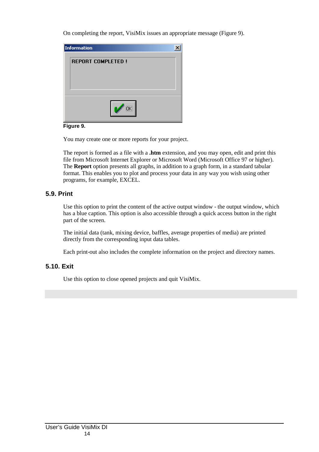On completing the report, VisiMix issues an appropriate message (Figure 9).



#### **Figure 9.**

You may create one or more reports for your project.

The report is formed as a file with a **.htm** extension, and you may open, edit and print this file from Microsoft Internet Explorer or Microsoft Word (Microsoft Office 97 or higher). The **Report** option presents all graphs, in addition to a graph form, in a standard tabular format. This enables you to plot and process your data in any way you wish using other programs, for example, EXCEL.

# **5.9. Print**

Use this option to print the content of the active output window - the output window, which has a blue caption. This option is also accessible through a quick access button in the right part of the screen.

The initial data (tank, mixing device, baffles, average properties of media) are printed directly from the corresponding input data tables.

Each print-out also includes the complete information on the project and directory names.

# **5.10. Exit**

Use this option to close opened projects and quit VisiMix.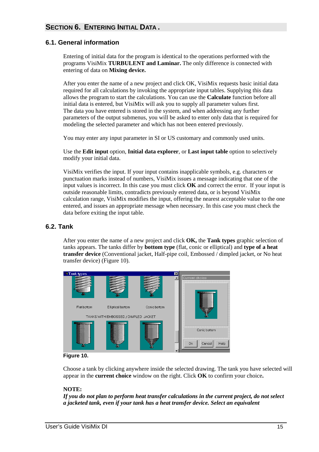# **SECTION 6. ENTERING INITIAL DATA .**

# **6.1. General information**

Entering of initial data for the program is identical to the operations performed with the programs VisiMix **TURBULENT and Laminar.** The only difference is connected with entering of data on **Mixing device.** 

After you enter the name of a new project and click OK, VisiMix requests basic initial data required for all calculations by invoking the appropriate input tables. Supplying this data allows the program to start the calculations. You can use the **Calculate** function before all initial data is entered, but VisiMix will ask you to supply all parameter values first. The data you have entered is stored in the system, and when addressing any further parameters of the output submenus, you will be asked to enter only data that is required for modeling the selected parameter and which has not been entered previously.

You may enter any input parameter in SI or US customary and commonly used units.

Use the **Edit input** option, **Initial data explorer**, or **Last input table** option to selectively modify your initial data.

VisiMix verifies the input. If your input contains inapplicable symbols, e.g. characters or punctuation marks instead of numbers, VisiMix issues a message indicating that one of the input values is incorrect. In this case you must click **OK** and correct the error. If your input is outside reasonable limits, contradicts previously entered data, or is beyond VisiMix calculation range, VisiMix modifies the input, offering the nearest acceptable value to the one entered, and issues an appropriate message when necessary. In this case you must check the data before exiting the input table.

# **6.2. Tank**

After you enter the name of a new project and click **OK,** the **Tank types** graphic selection of tanks appears. The tanks differ by **bottom type** (flat, conic or elliptical) and **type of a heat transfer device** (Conventional jacket, Half-pipe coil, Embossed / dimpled jacket, or No heat transfer device) (Figure 10).



#### **Figure 10.**

Choose a tank by clicking anywhere inside the selected drawing. The tank you have selected will appear in the **current choice** window on the right. Click **OK** to confirm your choice**.**

#### **NOTE:**

*If you do not plan to perform heat transfer calculations in the current project, do not select a jacketed tank, even if your tank has a heat transfer device. Select an equivalent*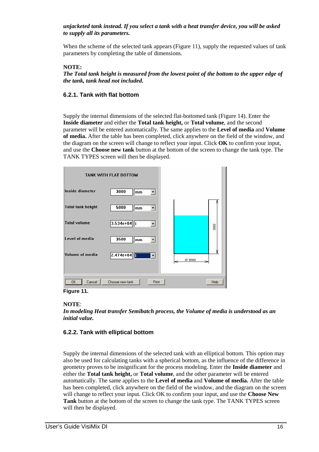## *unjacketed tank instead. If you select a tank with a heat transfer device, you will be asked to supply all its parameters.*

When the scheme of the selected tank appears (Figure 11), supply the requested values of tank parameters by completing the table of dimensions.

#### **NOTE:**

*The Total tank height is measured from the lowest point of the bottom to the upper edge of the tank, tank head not included.* 

#### **6.2.1. Tank with flat bottom**

Supply the internal dimensions of the selected flat-bottomed tank (Figure 14). Enter the **Inside diameter** and either the **Total tank height,** or **Total volume**, and the second parameter will be entered automatically. The same applies to the **Level of media** and **Volume of media.** After the table has been completed, click anywhere on the field of the window, and the diagram on the screen will change to reflect your input. Click **OK** to confirm your input, and use the **Choose new tank** button at the bottom of the screen to change the tank type. The TANK TYPES screen will then be displayed.

|                          | TANK WITH FLAT BOTTOM       |        |
|--------------------------|-----------------------------|--------|
| Inside diameter          | 3000<br>mm                  |        |
| <b>Total tank height</b> | 5000<br>mm                  |        |
| <b>Total volume</b>      | $3.534e + 04$               | SOOC   |
| Level of media           | 3500<br>mm                  |        |
| Volume of media          | $2.474e+04$<br>$\mathbf{r}$ | Ø 3000 |
|                          |                             |        |
| 0K<br>Cancel             | Choose new tank<br>Print    | Help   |

**Figure 11.** 

## **NOTE**:

*In modeling Heat transfer Semibatch process, the Volume of media is understood as an initial value.* 

## **6.2.2. Tank with elliptical bottom**

Supply the internal dimensions of the selected tank with an elliptical bottom. This option may also be used for calculating tanks with a spherical bottom, as the influence of the difference in geometry proves to be insignificant for the process modeling. Enter the **Inside diameter** and either the **Total tank height,** or **Total volume**, and the other parameter will be entered automatically. The same applies to the **Level of media** and **Volume of media.** After the table has been completed, click anywhere on the field of the window, and the diagram on the screen will change to reflect your input. Click OK to confirm your input, and use the **Choose New Tank** button at the bottom of the screen to change the tank type. The TANK TYPES screen will then be displayed.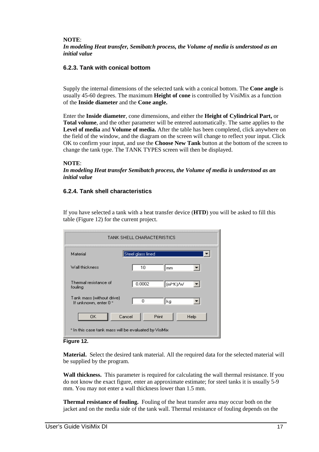#### **NOTE**:

*In modeling Heat transfer, Semibatch process, the Volume of media is understood as an initial value* 

#### **6.2.3. Tank with conical bottom**

Supply the internal dimensions of the selected tank with a conical bottom. The **Cone angle** is usually 45-60 degrees. The maximum **Height of cone** is controlled by VisiMix as a function of the **Inside diameter** and the **Cone angle.**

Enter the **Inside diameter**, cone dimensions, and either the **Height of Cylindrical Part,** or **Total volume**, and the other parameter will be entered automatically. The same applies to the **Level of media** and **Volume of media.** After the table has been completed, click anywhere on the field of the window, and the diagram on the screen will change to reflect your input. Click OK to confirm your input, and use the **Choose New Tank** button at the bottom of the screen to change the tank type. The TANK TYPES screen will then be displayed.

#### **NOTE**:

*In modeling Heat transfer Semibatch process, the Volume of media is understood as an initial value* 

#### **6.2.4. Tank shell characteristics**

If you have selected a tank with a heat transfer device (**HTD**) you will be asked to fill this table (Figure 12) for the current project.

| TANK SHELL CHARACTERISTICS                            |                                  |  |  |  |
|-------------------------------------------------------|----------------------------------|--|--|--|
| Material                                              | Steel glass lined                |  |  |  |
| Wall thickness                                        | 10<br>mm                         |  |  |  |
| Thermal resistance of<br>fouling                      | 0.0002<br>∥(m <sup>≥</sup> *K)/W |  |  |  |
| Tank mass (without drive)<br>If unknown, enter 0 *    | Ω<br>kg                          |  |  |  |
| Cancel<br>0K                                          | Print<br>Help                    |  |  |  |
| * In this case tank mass will be evaluated by VisiMix |                                  |  |  |  |



**Material.** Select the desired tank material. All the required data for the selected material will be supplied by the program.

**Wall thickness.** This parameter is required for calculating the wall thermal resistance. If you do not know the exact figure, enter an approximate estimate; for steel tanks it is usually 5-9 mm. You may not enter a wall thickness lower than 1.5 mm.

**Thermal resistance of fouling.** Fouling of the heat transfer area may occur both on the jacket and on the media side of the tank wall. Thermal resistance of fouling depends on the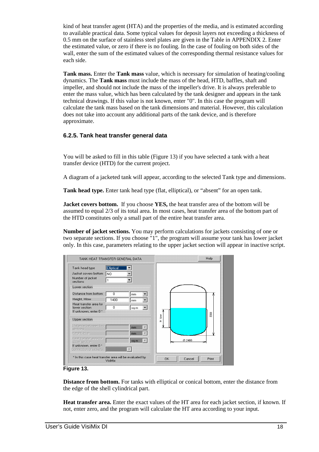kind of heat transfer agent (HTA) and the properties of the media, and is estimated according to available practical data. Some typical values for deposit layers not exceeding a thickness of 0.5 mm on the surface of stainless steel plates are given in the Table in APPENDIX 2. Enter the estimated value, or zero if there is no fouling. In the case of fouling on both sides of the wall, enter the sum of the estimated values of the corresponding thermal resistance values for each side.

**Tank mass.** Enter the **Tank mass** value, which is necessary for simulation of heating/cooling dynamics. The **Tank mass** must include the mass of the head, HTD, baffles, shaft and impeller, and should not include the mass of the impeller's drive. It is always preferable to enter the mass value, which has been calculated by the tank designer and appears in the tank technical drawings. If this value is not known, enter "0". In this case the program will calculate the tank mass based on the tank dimensions and material. However, this calculation does not take into account any additional parts of the tank device, and is therefore approximate.

# **6.2.5. Tank heat transfer general data**

You will be asked to fill in this table (Figure 13) if you have selected a tank with a heat transfer device (HTD) for the current project.

A diagram of a jacketed tank will appear, according to the selected Tank type and dimensions.

**Tank head type.** Enter tank head type (flat, elliptical), or "absent" for an open tank.

**Jacket covers bottom.** If you choose **YES,** the heat transfer area of the bottom will be assumed to equal 2/3 of its total area. In most cases, heat transfer area of the bottom part of the HTD constitutes only a small part of the entire heat transfer area.

**Number of jacket sections.** You may perform calculations for jackets consisting of one or two separate sections. If you choose "1", the program will assume your tank has lower jacket only. In this case, parameters relating to the upper jacket section will appear in inactive script.



**Figure 13.** 

**Distance from bottom.** For tanks with elliptical or conical bottom, enter the distance from the edge of the shell cylindrical part.

**Heat transfer area.** Enter the exact values of the HT area for each jacket section, if known. If not, enter zero, and the program will calculate the HT area according to your input.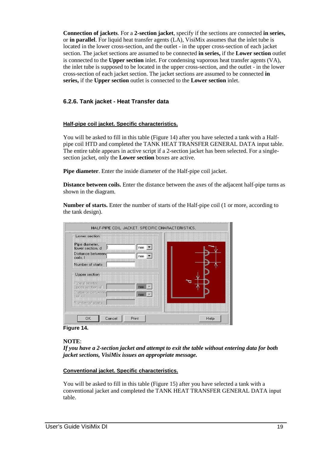**Connection of jackets**. For a **2-section jacket**, specify if the sections are connected **in series,** or **in parallel**. For liquid heat transfer agents (LA), VisiMix assumes that the inlet tube is located in the lower cross-section, and the outlet - in the upper cross-section of each jacket section. The jacket sections are assumed to be connected **in series,** if the **Lower section** outlet is connected to the **Upper section** inlet. For condensing vaporous heat transfer agents (VA), the inlet tube is supposed to be located in the upper cross-section, and the outlet - in the lower cross-section of each jacket section. The jacket sections are assumed to be connected **in series,** if the **Upper section** outlet is connected to the **Lower section** inlet.

# **6.2.6. Tank jacket - Heat Transfer data**

#### **Half-pipe coil jacket. Specific characteristics.**

You will be asked to fill in this table (Figure 14) after you have selected a tank with a Halfpipe coil HTD and completed the TANK HEAT TRANSFER GENERAL DATA input table. The entire table appears in active script if a 2-section jacket has been selected. For a singlesection jacket, only the **Lower section** boxes are active.

**Pipe diameter**. Enter the inside diameter of the Half-pipe coil jacket.

**Distance between coils.** Enter the distance between the axes of the adjacent half-pipe turns as shown in the diagram.

**Number of starts.** Enter the number of starts of the Half-pipe coil (1 or more, according to the tank design).

| Lower section<br>Pipe diameter,<br>lower section, d<br>Distance between<br>coils, I<br>Number of starts | mm.<br>$mm$ $\blacktriangledown$ |      |
|---------------------------------------------------------------------------------------------------------|----------------------------------|------|
| Upper section<br>Pipe diameter,<br>upper section, d<br>Distance between<br>coils, I                     | $mm \nightharpoonup$<br>mm       |      |
| Number of starts<br><b>OK</b><br>Cancel                                                                 | Print                            | Help |

#### **Figure 14.**

#### **NOTE**:

*If you have a 2-section jacket and attempt to exit the table without entering data for both jacket sections, VisiMix issues an appropriate message.* 

#### **Conventional jacket. Specific characteristics.**

You will be asked to fill in this table (Figure 15) after you have selected a tank with a conventional jacket and completed the TANK HEAT TRANSFER GENERAL DATA input table.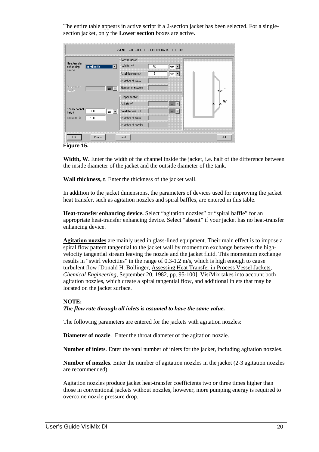The entire table appears in active script if a 2-section jacket has been selected. For a singlesection jacket, only the **Lower section** boxes are active.

|                            |                                           | Lower section     |    |             |   |
|----------------------------|-------------------------------------------|-------------------|----|-------------|---|
| Heat-transfer<br>enhancing | spiral baffle                             | Width, W          | 50 | mm          |   |
| device                     |                                           | Wall thickness, t | 8  | mm          |   |
|                            |                                           | Number of inlets  |    |             |   |
| Diameter of<br>nozzle      | $\mathsf{mm}$<br>$\overline{\phantom{a}}$ | Number of nozzles |    |             |   |
|                            |                                           | Upper section     |    |             |   |
|                            |                                           | Width, W          |    | mm          | w |
| Spiral channel<br>height   | 300<br>!mm ∣▼l                            | Wall thickness, t |    | $mm$ $\tau$ |   |
| Leakage, %                 | 100                                       | Number of inlets  |    |             |   |
|                            |                                           | Number of nozzles |    |             |   |

**Figure 15.** 

Width, W. Enter the width of the channel inside the jacket, i.e. half of the difference between the inside diameter of the jacket and the outside diameter of the tank.

**Wall thickness, t**. Enter the thickness of the jacket wall.

In addition to the jacket dimensions, the parameters of devices used for improving the jacket heat transfer, such as agitation nozzles and spiral baffles, are entered in this table.

**Heat-transfer enhancing device.** Select "agitation nozzles" or "spiral baffle" for an appropriate heat-transfer enhancing device. Select "absent" if your jacket has no heat-transfer enhancing device.

**Agitation nozzles** are mainly used in glass-lined equipment. Their main effect is to impose a spiral flow pattern tangential to the jacket wall by momentum exchange between the highvelocity tangential stream leaving the nozzle and the jacket fluid. This momentum exchange results in "swirl velocities" in the range of 0.3-1.2 m/s, which is high enough to cause turbulent flow [Donald H. Bollinger, Assessing Heat Transfer in Process Vessel Jackets, *Chemical Engineering*, September 20, 1982, pp. 95-100]. VisiMix takes into account both agitation nozzles, which create a spiral tangential flow, and additional inlets that may be located on the jacket surface.

#### **NOTE:**

#### *The flow rate through all inlets is assumed to have the same value.*

The following parameters are entered for the jackets with agitation nozzles:

**Diameter of nozzle**. Enter the throat diameter of the agitation nozzle.

**Number of inlets**. Enter the total number of inlets for the jacket, including agitation nozzles.

**Number of nozzles**. Enter the number of agitation nozzles in the jacket (2-3 agitation nozzles are recommended).

Agitation nozzles produce jacket heat-transfer coefficients two or three times higher than those in conventional jackets without nozzles, however, more pumping energy is required to overcome nozzle pressure drop.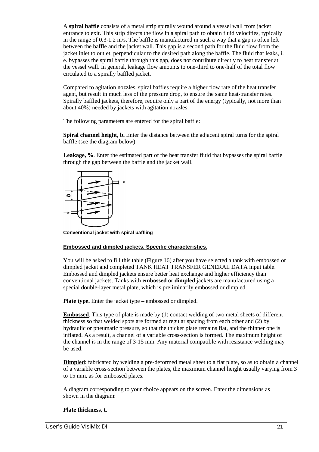A **spiral baffle** consists of a metal strip spirally wound around a vessel wall from jacket entrance to exit. This strip directs the flow in a spiral path to obtain fluid velocities, typically in the range of 0.3-1.2 m/s. The baffle is manufactured in such a way that a gap is often left between the baffle and the jacket wall. This gap is a second path for the fluid flow from the jacket inlet to outlet, perpendicular to the desired path along the baffle. The fluid that leaks, i. e. bypasses the spiral baffle through this gap, does not contribute directly to heat transfer at the vessel wall. In general, leakage flow amounts to one-third to one-half of the total flow circulated to a spirally baffled jacket.

Compared to agitation nozzles, spiral baffles require a higher flow rate of the heat transfer agent, but result in much less of the pressure drop, to ensure the same heat-transfer rates. Spirally baffled jackets, therefore, require only a part of the energy (typically, not more than about 40%) needed by jackets with agitation nozzles.

The following parameters are entered for the spiral baffle:

Spiral channel height, b. Enter the distance between the adjacent spiral turns for the spiral baffle (see the diagram below).

**Leakage, %**. Enter the estimated part of the heat transfer fluid that bypasses the spiral baffle through the gap between the baffle and the jacket wall.



**Conventional jacket with spiral baffling** 

#### **Embossed and dimpled jackets. Specific characteristics.**

You will be asked to fill this table (Figure 16) after you have selected a tank with embossed or dimpled jacket and completed TANK HEAT TRANSFER GENERAL DATA input table. Embossed and dimpled jackets ensure better heat exchange and higher efficiency than conventional jackets. Tanks with **embossed** or **dimpled** jackets are manufactured using a special double-layer metal plate, which is preliminarily embossed or dimpled.

**Plate type.** Enter the jacket type – embossed or dimpled.

**Embossed**. This type of plate is made by (1) contact welding of two metal sheets of different thickness so that welded spots are formed at regular spacing from each other and (2) by hydraulic or pneumatic pressure, so that the thicker plate remains flat, and the thinner one is inflated. As a result, a channel of a variable cross-section is formed. The maximum height of the channel is in the range of 3-15 mm. Any material compatible with resistance welding may be used.

**Dimpled**: fabricated by welding a pre-deformed metal sheet to a flat plate, so as to obtain a channel of a variable cross-section between the plates, the maximum channel height usually varying from 3 to 15 mm, as for embossed plates.

A diagram corresponding to your choice appears on the screen. Enter the dimensions as shown in the diagram:

#### **Plate thickness, t.**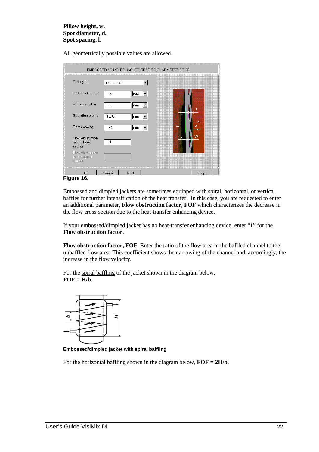#### **Pillow height, w. Spot diameter, d. Spot spacing, l**.

All geometrically possible values are allowed.

| Plate type                                   | embossed |    |   |
|----------------------------------------------|----------|----|---|
| Plate thickness, t                           | 8        | mm |   |
| Pillow height w                              | 10       | mm |   |
| Spot diameter, d                             | 13.33    | mm |   |
| Spot spacing, I                              | 40       | mm | ᆷ |
| Flow obstruction<br>factor, lower<br>section |          |    |   |
| Flow obstruction<br>factor, upper<br>section |          |    |   |

**Figure 16.** 

Embossed and dimpled jackets are sometimes equipped with spiral, horizontal, or vertical baffles for further intensification of the heat transfer. In this case, you are requested to enter an additional parameter, **Flow obstruction factor, FOF** which characterizes the decrease in the flow cross-section due to the heat-transfer enhancing device.

If your embossed/dimpled jacket has no heat-transfer enhancing device, enter "**1**" for the **Flow obstruction factor**.

**Flow obstruction factor, FOF**. Enter the ratio of the flow area in the baffled channel to the unbaffled flow area. This coefficient shows the narrowing of the channel and, accordingly, the increase in the flow velocity.

For the spiral baffling of the jacket shown in the diagram below,  $FOF = H/b$ .



**Embossed/dimpled jacket with spiral baffling** 

For the <u>horizontal baffling</u> shown in the diagram below,  $\mathbf{FOF} = 2\mathbf{H/b}$ .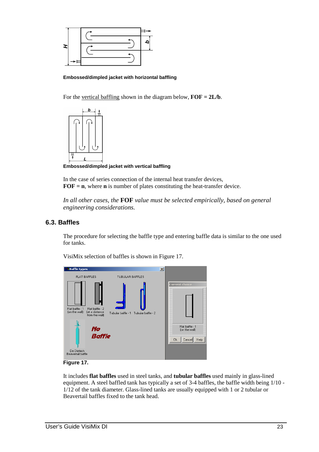

#### **Embossed/dimpled jacket with horizontal baffling**

For the vertical baffling shown in the diagram below,  $\overline{FOF} = 2L/b$ .



**Embossed/dimpled jacket with vertical baffling** 

In the case of series connection of the internal heat transfer devices, **FOF = n**, where **n** is number of plates constituting the heat-transfer device.

*In all other cases, the* **FOF** *value must be selected empirically, based on general engineering considerations.* 

## **6.3. Baffles**

The procedure for selecting the baffle type and entering baffle data is similar to the one used for tanks.



VisiMix selection of baffles is shown in Figure 17.

**Figure 17.** 

It includes **flat baffles** used in steel tanks, and **tubular baffles** used mainly in glass-lined equipment. A steel baffled tank has typically a set of 3-4 baffles, the baffle width being 1/10 - 1/12 of the tank diameter. Glass-lined tanks are usually equipped with 1 or 2 tubular or Beavertail baffles fixed to the tank head.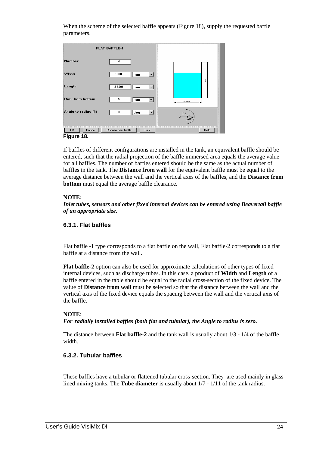When the scheme of the selected baffle appears (Figure 18), supply the requested baffle parameters.

|                      | <b>FLAT BAFFLE-1</b>       |        |
|----------------------|----------------------------|--------|
| <b>Number</b>        | 4                          |        |
| Width                | 300<br>mm                  |        |
| Length               | 3600<br>mm                 | $5000$ |
| Dist. from bottom    | 0<br>mm                    | @3000  |
| Angle to radius [fi] | 0<br>deg                   | fi     |
| OK.<br>Cancel        | Choose new baffle<br>Print | Help   |

**Figure 18.** 

If baffles of different configurations are installed in the tank, an equivalent baffle should be entered, such that the radial projection of the baffle immersed area equals the average value for all baffles. The number of baffles entered should be the same as the actual number of baffles in the tank. The **Distance from wall** for the equivalent baffle must be equal to the average distance between the wall and the vertical axes of the baffles, and the **Distance from bottom** must equal the average baffle clearance.

# **NOTE:**

*Inlet tubes, sensors and other fixed internal devices can be entered using Beavertail baffle of an appropriate size.* 

# **6.3.1. Flat baffles**

Flat baffle -1 type corresponds to a flat baffle on the wall, Flat baffle-2 corresponds to a flat baffle at a distance from the wall.

**Flat baffle-2** option can also be used for approximate calculations of other types of fixed internal devices, such as discharge tubes. In this case, a product of **Width** and **Length** of a baffle entered in the table should be equal to the radial cross-section of the fixed device. The value of **Distance from wall** must be selected so that the distance between the wall and the vertical axis of the fixed device equals the spacing between the wall and the vertical axis of the baffle.

## **NOTE**:

*For radially installed baffles (both flat and tubular), the Angle to radius is zero.* 

The distance between **Flat baffle-2** and the tank wall is usually about 1/3 - 1/4 of the baffle width.

# **6.3.2. Tubular baffles**

These baffles have a tubular or flattened tubular cross-section. They are used mainly in glasslined mixing tanks. The **Tube diameter** is usually about 1/7 - 1/11 of the tank radius.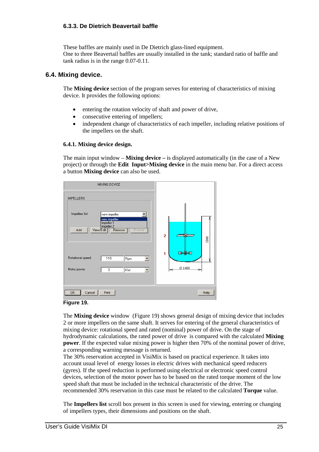# **6.3.3. De Dietrich Beavertail baffle**

These baffles are mainly used in De Dietrich glass-lined equipment. One to three Beavertail baffles are usually installed in the tank; standard ratio of baffle and tank radius is in the range 0.07-0.11.

## **6.4. Mixing device.**

The **Mixing device** section of the program serves for entering of characteristics of mixing device. It provides the following options:

- entering the rotation velocity of shaft and power of drive,
- consecutive entering of impellers;
- independent change of characteristics of each impeller, including relative positions of the impellers on the shaft.

#### **6.4.1. Mixing device design.**

The main input window – **Mixing device –** is displayed automatically (in the case of a New project) or through the **Edit Input>Mixing device** in the main menu bar. For a direct access a button **Mixing device** can also be used.



#### **Figure 19.**

The **Mixing device** window (Figure 19) shows general design of mixing device that includes 2 or more impellers on the same shaft. It serves for entering of the general characteristics of mixing device: rotational speed and rated (nominal) power of drive. On the stage of hydrodynamic calculations, the rated power of drive is compared with the calculated **Mixing power**. If the expected value mixing power is higher then 70% of the nominal power of drive, a corresponding warning message is returned.

The 30% reservation accepted in VisiMix is based on practical experience. It takes into account usual level of energy losses in electric drives with mechanical speed reducers (gyres). If the speed reduction is performed using electrical or electronic speed control devices, selection of the motor power has to be based on the rated torque moment of the low speed shaft that must be included in the technical characteristic of the drive. The recommended 30% reservation in this case must be related to the calculated **Torque** value.

The **Impellers list** scroll box present in this screen is used for viewing, entering or changing of impellers types, their dimensions and positions on the shaft.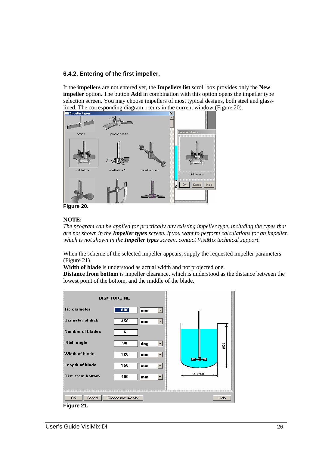# **6.4.2. Entering of the first impeller.**

If the **impellers** are not entered yet, the **Impellers list** scroll box provides only the **New impeller** option. The button **Add** in combination with this option opens the impeller type selection screen. You may choose impellers of most typical designs, both steel and glasslined. The corresponding diagram occurs in the current window (Figure 20).



**Figure 20.** 

# **NOTE:**

*The program can be applied for practically any existing impeller type, including the types that are not shown in the Impeller types screen. If you want to perform calculations for an impeller, which is not shown in the Impeller types screen, contact VisiMix technical support.*

When the scheme of the selected impeller appears, supply the requested impeller parameters (Figure 21)

**Width of blade** is understood as actual width and not projected one.

**Distance from bottom** is impeller clearance, which is understood as the distance between the lowest point of the bottom, and the middle of the blade.

|                         | <b>DISK TURBINE</b> |                 |
|-------------------------|---------------------|-----------------|
| <b>Tip diameter</b>     | 600<br>mm<br>۰      |                 |
| Diameter of disk        | 450<br>mm<br>▼      |                 |
| <b>Number of blades</b> | 6                   |                 |
| Pitch angle             | 90<br>deg           | 2066            |
| Width of blade          | 120<br>mm           | <del>____</del> |
| Length of blade         | 150<br>mm<br>▼      | ነሆ              |
| Dist. from bottom       | 400<br>mm           | Ø 1400          |
|                         |                     |                 |
| OK.<br>Cancel           | Choose new impeller | Help            |
| Figure 21.              |                     |                 |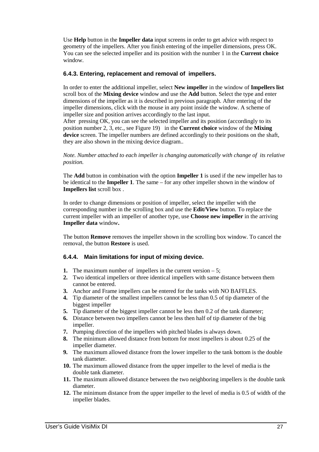Use **Help** button in the **Impeller data** input screens in order to get advice with respect to geometry of the impellers. After you finish entering of the impeller dimensions, press OK. You can see the selected impeller and its position with the number 1 in the **Current choice** window.

# **6.4.3. Entering, replacement and removal of impellers.**

In order to enter the additional impeller, select **New impeller** in the window of **Impellers list**  scroll box of the **Mixing device** window and use the **Add** button. Select the type and enter dimensions of the impeller as it is described in previous paragraph. After entering of the impeller dimensions, click with the mouse in any point inside the window. A scheme of impeller size and position arrives accordingly to the last input.

After pressing OK, you can see the selected impeller and its position (accordingly to its position number 2, 3, etc., see Figure 19) in the **Current choice** window of the **Mixing device** screen. The impeller numbers are defined accordingly to their positions on the shaft, they are also shown in the mixing device diagram..

*Note. Number attached to each impeller is changing automatically with change of its relative position.* 

The **Add** button in combination with the option **Impeller 1** is used if the new impeller has to be identical to the **Impeller 1**. The same – for any other impeller shown in the window of **Impellers list** scroll box .

In order to change dimensions or position of impeller, select the impeller with the corresponding number in the scrolling box and use the **Edit/View** button. To replace the current impeller with an impeller of another type, use **Choose new impeller** in the arriving **Impeller data** window**.**

The button **Remove** removes the impeller shown in the scrolling box window. To cancel the removal, the button **Restore** is used.

# **6.4.4. Main limitations for input of mixing device.**

- **1.** The maximum number of impellers in the current version 5;
- **2.** Two identical impellers or three identical impellers with same distance between them cannot be entered.
- **3.** Anchor and Frame impellers can be entered for the tanks with NO BAFFLES.
- **4.** Tip diameter of the smallest impellers cannot be less than 0.5 of tip diameter of the biggest impeller
- **5.** Tip diameter of the biggest impeller cannot be less then 0.2 of the tank diameter;
- **6.** Distance between two impellers cannot be less then half of tip diameter of the big impeller.
- **7.** Pumping direction of the impellers with pitched blades is always down.
- **8.** The minimum allowed distance from bottom for most impellers is about 0.25 of the impeller diameter.
- **9.** The maximum allowed distance from the lower impeller to the tank bottom is the double tank diameter.
- **10.** The maximum allowed distance from the upper impeller to the level of media is the double tank diameter.
- **11.** The maximum allowed distance between the two neighboring impellers is the double tank diameter.
- **12.** The minimum distance from the upper impeller to the level of media is 0.5 of width of the impeller blades.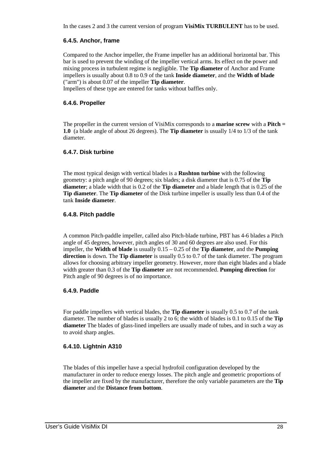In the cases 2 and 3 the current version of program **VisiMix TURBULENT** has to be used.

# **6.4.5. Anchor, frame**

Compared to the Anchor impeller, the Frame impeller has an additional horizontal bar. This bar is used to prevent the winding of the impeller vertical arms. Its effect on the power and mixing process in turbulent regime is negligible. The **Tip diameter** of Anchor and Frame impellers is usually about 0.8 to 0.9 of the tank **Inside diameter**, and the **Width of blade**  ("arm") is about 0.07 of the impeller **Tip diameter**.

Impellers of these type are entered for tanks without baffles only.

# **6.4.6. Propeller**

The propeller in the current version of VisiMix corresponds to a **marine screw** with a **Pitch = 1.0** (a blade angle of about 26 degrees). The **Tip diameter** is usually 1/4 to 1/3 of the tank diameter.

# **6.4.7. Disk turbine**

The most typical design with vertical blades is a **Rushton turbine** with the following geometry: a pitch angle of 90 degrees; six blades; a disk diameter that is 0.75 of the **Tip diameter**; a blade width that is 0.2 of the **Tip diameter** and a blade length that is 0.25 of the **Tip diameter**. The **Tip diameter** of the Disk turbine impeller is usually less than 0.4 of the tank **Inside diameter**.

# **6.4.8. Pitch paddle**

A common Pitch-paddle impeller, called also Pitch-blade turbine, PBT has 4-6 blades a Pitch angle of 45 degrees, however, pitch angles of 30 and 60 degrees are also used. For this impeller, the **Width of blade** is usually 0.15 – 0.25 of the **Tip diameter**, and the **Pumping direction** is down. The **Tip diameter** is usually 0.5 to 0.7 of the tank diameter. The program allows for choosing arbitrary impeller geometry. However, more than eight blades and a blade width greater than 0.3 of the **Tip diameter** are not recommended. **Pumping direction** for Pitch angle of 90 degrees is of no importance.

# **6.4.9. Paddle**

For paddle impellers with vertical blades, the **Tip diameter** is usually 0.5 to 0.7 of the tank diameter. The number of blades is usually 2 to 6; the width of blades is 0.1 to 0.15 of the **Tip diameter** The blades of glass-lined impellers are usually made of tubes, and in such a way as to avoid sharp angles.

# **6.4.10. Lightnin A310**

The blades of this impeller have a special hydrofoil configuration developed by the manufacturer in order to reduce energy losses. The pitch angle and geometric proportions of the impeller are fixed by the manufacturer, therefore the only variable parameters are the **Tip diameter** and the **Distance from bottom**.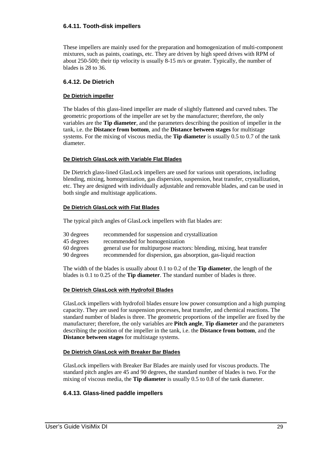# **6.4.11. Tooth-disk impellers**

These impellers are mainly used for the preparation and homogenization of multi-component mixtures, such as paints, coatings, etc. They are driven by high speed drives with RPM of about 250-500; their tip velocity is usually 8-15 m/s or greater. Typically, the number of blades is 28 to 36.

# **6.4.12. De Dietrich**

#### **De Dietrich impeller**

The blades of this glass-lined impeller are made of slightly flattened and curved tubes. The geometric proportions of the impeller are set by the manufacturer; therefore, the only variables are the **Tip diameter**, and the parameters describing the position of impeller in the tank, i.e. the **Distance from bottom**, and the **Distance between stages** for multistage systems. For the mixing of viscous media, the **Tip diameter** is usually 0.5 to 0.7 of the tank diameter.

#### **De Dietrich GlasLock with Variable Flat Blades**

De Dietrich glass-lined GlasLock impellers are used for various unit operations, including blending, mixing, homogenization, gas dispersion, suspension, heat transfer, crystallization, etc. They are designed with individually adjustable and removable blades, and can be used in both single and multistage applications.

#### **De Dietrich GlasLock with Flat Blades**

The typical pitch angles of GlasLock impellers with flat blades are:

| 30 degrees | recommended for suspension and crystallization |  |
|------------|------------------------------------------------|--|
| 45 degrees | recommended for homogenization                 |  |

- 60 degrees general use for multipurpose reactors: blending, mixing, heat transfer
- 90 degrees recommended for dispersion, gas absorption, gas-liquid reaction

The width of the blades is usually about 0.1 to 0.2 of the **Tip diameter**, the length of the blades is 0.1 to 0.25 of the **Tip diameter**. The standard number of blades is three.

#### **De Dietrich GlasLock with Hydrofoil Blades**

GlasLock impellers with hydrofoil blades ensure low power consumption and a high pumping capacity. They are used for suspension processes, heat transfer, and chemical reactions. The standard number of blades is three. The geometric proportions of the impeller are fixed by the manufacturer; therefore, the only variables are **Pitch angle**, **Tip diameter** and the parameters describing the position of the impeller in the tank, i.e. the **Distance from bottom**, and the **Distance between stages** for multistage systems.

#### **De Dietrich GlasLock with Breaker Bar Blades**

GlasLock impellers with Breaker Bar Blades are mainly used for viscous products. The standard pitch angles are 45 and 90 degrees, the standard number of blades is two. For the mixing of viscous media, the **Tip diameter** is usually 0.5 to 0.8 of the tank diameter.

## **6.4.13. Glass-lined paddle impellers**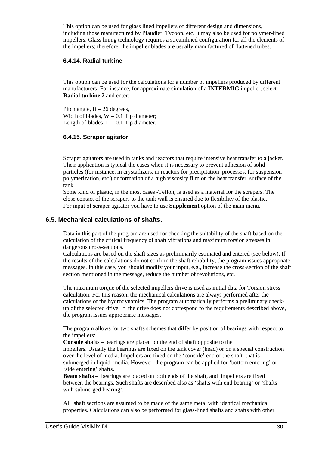This option can be used for glass lined impellers of different design and dimensions, including those manufactured by Pfaudler, Tycoon, etc. It may also be used for polymer-lined impellers. Glass lining technology requires a streamlined configuration for all the elements of the impellers; therefore, the impeller blades are usually manufactured of flattened tubes.

# **6.4.14. Radial turbine**

This option can be used for the calculations for a number of impellers produced by different manufacturers. For instance, for approximate simulation of a **INTERMIG** impeller, select **Radial turbine 2** and enter:

Pitch angle,  $fi = 26$  degrees, Width of blades,  $W = 0.1$  Tip diameter; Length of blades,  $L = 0.1$  Tip diameter.

# **6.4.15. Scraper agitator.**

Scraper agitators are used in tanks and reactors that require intensive heat transfer to a jacket. Their application is typical the cases when it is necessary to prevent adhesion of solid particles (for instance, in crystallizers, in reactors for precipitation processes, for suspension polymerization, etc.) or formation of a high viscosity film on the heat transfer surface of the tank

Some kind of plastic, in the most cases -Teflon, is used as a material for the scrapers. The close contact of the scrapers to the tank wall is ensured due to flexibility of the plastic. For input of scraper agitator you have to use **Supplement** option of the main menu.

# **6.5. Mechanical calculations of shafts.**

Data in this part of the program are used for checking the suitability of the shaft based on the calculation of the critical frequency of shaft vibrations and maximum torsion stresses in dangerous cross-sections.

Calculations are based on the shaft sizes as preliminarily estimated and entered (see below). If the results of the calculations do not confirm the shaft reliability, the program issues appropriate messages. In this case, you should modify your input, e.g., increase the cross-section of the shaft section mentioned in the message, reduce the number of revolutions, etc.

The maximum torque of the selected impellers drive is used as initial data for Torsion stress calculation. For this reason, the mechanical calculations are always performed after the calculations of the hydrodynamics. The program automatically performs a preliminary checkup of the selected drive. If the drive does not correspond to the requirements described above, the program issues appropriate messages.

The program allows for two shafts schemes that differ by position of bearings with respect to the impellers:

**Console shafts** – bearings are placed on the end of shaft opposite to the impellers. Usually the bearings are fixed on the tank cover (head) or on a special construction over the level of media. Impellers are fixed on the 'console' end of the shaft that is submerged in liquid media. However, the program can be applied for 'bottom entering' or 'side entering' shafts.

**Beam shafts** – bearings are placed on both ends of the shaft, and impellers are fixed between the bearings. Such shafts are described also as 'shafts with end bearing' or 'shafts with submerged bearing'.

All shaft sections are assumed to be made of the same metal with identical mechanical properties. Calculations can also be performed for glass-lined shafts and shafts with other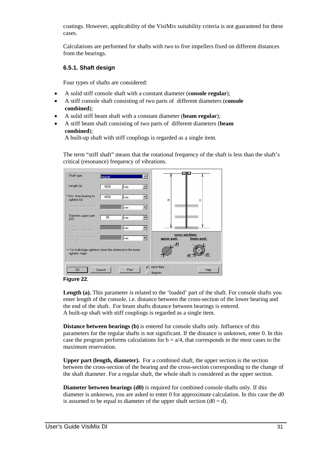coatings. However, applicability of the VisiMix suitability criteria is not guaranteed for these cases.

Calculations are performed for shafts with two to five impellers fixed on different distances from the bearings.

#### **6.5.1. Shaft design**

Four types of shafts are considered:

- A solid stiff console shaft with a constant diameter (**console regular**);
- A stiff console shaft consisting of two parts of different diameters (**console combined**);
- A solid stiff beam shaft with a constant diameter (**beam regular**);
- A stiff beam shaft consisting of two parts of different diameters (**beam combined**);

A built-up shaft with stiff couplings is regarded as a single item.

The term "stiff shaft" means that the rotational frequency of the shaft is less than the shaft's critical (resonance) frequency of vibrations.

| Shaft type                                                                    | regular |       | ▼ |                             | ⊠<br>×                        |
|-------------------------------------------------------------------------------|---------|-------|---|-----------------------------|-------------------------------|
| Length (a)                                                                    | 4000    | mm    |   |                             |                               |
| ** Dist. from bearing to<br>agitator (b)                                      | 4000    | mm    |   | $\sigma$                    | 요                             |
| Length, upper part (c)                                                        |         | mm    |   |                             |                               |
| Diameter, upper part<br>[d1]                                                  | 85      | mm    |   |                             |                               |
| <b>Outside</b><br>diameter, lower part<br>(d2)                                |         | mm    |   |                             |                               |
| Inside diameter, lower<br>part (d3)                                           |         | mm    |   | upper part:                 | cross-sections<br>lower part: |
| ** For multistage agitators enter the distance to the lower<br>agitator stage |         |       |   | $\mathbf{d}$                | dЗ<br>d <sub>2</sub>          |
| 0K                                                                            | Cancel  | Print |   | $\nu$ input data<br>diagram | Help                          |



Length (a). This parameter is related to the 'loaded' part of the shaft. For console shafts you enter length of the console, i.e. distance between the cross-section of the lower bearing and the end of the shaft. For beam shafts distance between bearings is entered. A built-up shaft with stiff couplings is regarded as a single item.

**Distance between bearings (b)** is entered for console shafts only. Influence of this parameters for the regular shafts is not significant. If the distance is unknown, enter 0. In this case the program performs calculations for  $b = a/4$ , that corresponds in the most cases to the maximum reservation.

**Upper part (length, diameter).** For a combined shaft, the upper section is the section between the cross-section of the bearing and the cross-section corresponding to the change of the shaft diameter. For a regular shaft, the whole shaft is considered as the upper section.

**Diameter between bearings (d0)** is required for combined console shafts only. If this diameter is unknown, you are asked to enter 0 for approximate calculation. In this case the d0 is assumed to be equal to diameter of the upper shaft section  $(d0 = d)$ .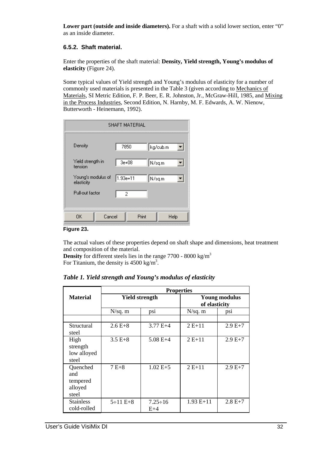**Lower part (outside and inside diameters).** For a shaft with a solid lower section, enter "0" as an inside diameter.

# **6.5.2. Shaft material.**

Enter the properties of the shaft material: **Density, Yield strength, Young's modulus of elasticity** (Figure 24).

Some typical values of Yield strength and Young's modulus of elasticity for a number of commonly used materials is presented in the Table 3 (given according to Mechanics of Materials, SI Metric Edition, F. P. Beer, E. R. Johnston, Jr., McGraw-Hill, 1985, and Mixing in the Process Industries, Second Edition, N. Harnby, M. F. Edwards, A. W. Nienow, Butterworth - Heinemann, 1992).

| <b>SHAFT MATERIAL</b>            |           |          |  |  |  |  |
|----------------------------------|-----------|----------|--|--|--|--|
| Density                          | 7850      | kg/cub.m |  |  |  |  |
| Yield strength in<br>tension     | $3e+08$   | N/sq.m   |  |  |  |  |
| Young's modulus of<br>elasticity | 1.93e+11∣ | N/sq.m   |  |  |  |  |
| Pull-out factor                  | 2         |          |  |  |  |  |
|                                  |           |          |  |  |  |  |
| Cancel<br>0K                     | Print     | Help     |  |  |  |  |

**Figure 23.** 

The actual values of these properties depend on shaft shape and dimensions, heat treatment and composition of the material.

**Density** for different steels lies in the range 7700 - 8000 kg/m<sup>3</sup> For Titanium, the density is  $4500 \text{ kg/m}^3$ .

|                                                 | <b>Properties</b> |                         |             |                                       |  |  |
|-------------------------------------------------|-------------------|-------------------------|-------------|---------------------------------------|--|--|
| <b>Material</b>                                 |                   | <b>Yield strength</b>   |             | <b>Young modulus</b><br>of elasticity |  |  |
|                                                 | $N/sq.$ m         | psi                     | N/sq. m     | psi                                   |  |  |
|                                                 |                   |                         |             |                                       |  |  |
| Structural<br>steel                             | $2.6E+8$          | $3.77E+4$               | $2E+11$     | $2.9E+7$                              |  |  |
| High<br>strength<br>low alloyed<br>steel        | $3.5 E + 8$       | $5.08 E+4$              | $2E+11$     | $2.9 E+7$                             |  |  |
| Quenched<br>and<br>tempered<br>alloyed<br>steel | $7E+8$            | $1.02 E+5$              | $2E+11$     | $2.9 E+7$                             |  |  |
| <b>Stainless</b><br>cold-rolled                 | $5 \div 11 E + 8$ | $7.25 \div 16$<br>$E+4$ | $1.93 E+11$ | $2.8 E+7$                             |  |  |

*Table 1. Yield strength and Young's modulus of elasticity*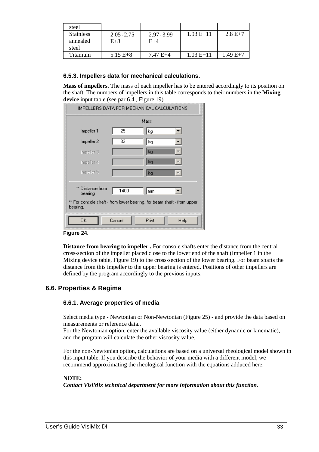| steel                                 |                           |                           |             |           |
|---------------------------------------|---------------------------|---------------------------|-------------|-----------|
| <b>Stainless</b><br>annealed<br>steel | $2.05 \div 2.75$<br>$E+8$ | $2.97 \div 3.99$<br>$E+4$ | $1.93 E+11$ | $2.8 E+7$ |
| Titanium                              | $5.15 E + 8$              | $7.47 E+4$                | $1.03 E+11$ | $1.49E+7$ |

# **6.5.3. Impellers data for mechanical calculations.**

**Mass of impellers.** The mass of each impeller has to be entered accordingly to its position on the shaft. The numbers of impellers in this table corresponds to their numbers in the **Mixing device** input table (see par.6.4 , Figure 19).

| IMPELLERS DATA FOR MECHANICAL CALCULATIONS                                         |        |       |      |  |  |  |  |  |
|------------------------------------------------------------------------------------|--------|-------|------|--|--|--|--|--|
|                                                                                    | Mass   |       |      |  |  |  |  |  |
| Impeller 1                                                                         | 25     | kg    |      |  |  |  |  |  |
| Impeller <sub>2</sub>                                                              | 32     | kg    |      |  |  |  |  |  |
| Impeller 3                                                                         |        | kg    |      |  |  |  |  |  |
| Impeller 4                                                                         |        | kg    |      |  |  |  |  |  |
| Impeller 5                                                                         |        | kg    |      |  |  |  |  |  |
| ** Distance from<br>bearing                                                        | 1400   | mm    |      |  |  |  |  |  |
| ** For console shaft - from lower bearing, for beam shaft - from upper<br>bearing. |        |       |      |  |  |  |  |  |
| ΟK                                                                                 | Cancel | Print | Help |  |  |  |  |  |

#### **Figure 24**.

**Distance from bearing to impeller .** For console shafts enter the distance from the central cross-section of the impeller placed close to the lower end of the shaft (Impeller 1 in the Mixing device table, Figure 19) to the cross-section of the lower bearing. For beam shafts the distance from this impeller to the upper bearing is entered. Positions of other impellers are defined by the program accordingly to the previous inputs.

# **6.6. Properties & Regime**

# **6.6.1. Average properties of media**

Select media type - Newtonian or Non-Newtonian (Figure 25) - and provide the data based on measurements or reference data..

For the Newtonian option, enter the available viscosity value (either dynamic or kinematic), and the program will calculate the other viscosity value.

For the non-Newtonian option, calculations are based on a universal rheological model shown in this input table. If you describe the behavior of your media with a different model, we recommend approximating the rheological function with the equations adduced here.

## **NOTE:**

*Contact VisiMix technical department for more information about this function.*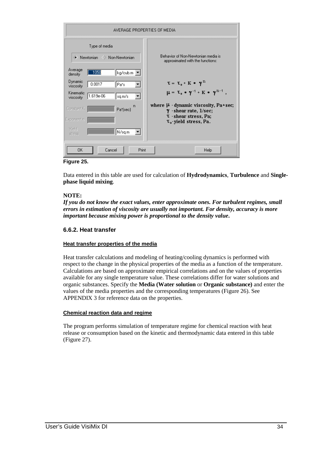|                        | AVERAGE PROPERTIES OF MEDIA     |                       |       |                                                                           |  |  |  |
|------------------------|---------------------------------|-----------------------|-------|---------------------------------------------------------------------------|--|--|--|
|                        | Type of media<br>Newtonian<br>◇ | Non-Newtonian         |       | Behavior of Non-Newtonian media is<br>approximated with the functions:    |  |  |  |
| Average<br>density     | 1050                            | kg/cub.m              |       |                                                                           |  |  |  |
| Dynamic<br>viscosity   | 0.0017                          | Pa*s                  |       | $\tau = \tau_0 + K * \gamma^n$                                            |  |  |  |
| Kinematic<br>viscosity | 1.619e-06                       | sq.m/s                |       | $\mu = \tau_0 * \gamma^{-1} + K * \gamma^{n-1}$ ,                         |  |  |  |
| Constant K             |                                 | Pa <sup>x</sup> (sec) | n     | where $\mu$ -dynamic viscosity, Pa*sec;<br>$\gamma$ -shear rate, $1/sec;$ |  |  |  |
| Exponent n             |                                 |                       |       | <b>T</b> - shear stress, Pa;<br>$\tau_{0}$ -yield stress, Pa.             |  |  |  |
| Yield<br>stress        |                                 | N/sq.m                |       |                                                                           |  |  |  |
| 0K                     | Cancel                          |                       | Print | Help                                                                      |  |  |  |

**Figure 25.** 

Data entered in this table are used for calculation of **Hydrodynamics**, **Turbulence** and **Singlephase liquid mixing**.

## **NOTE:**

*If you do not know the exact values, enter approximate ones. For turbulent regimes, small errors in estimation of viscosity are usually not important. For density, accuracy is more important because mixing power is proportional to the density value***.** 

## **6.6.2. Heat transfer**

#### **Heat transfer properties of the media**

Heat transfer calculations and modeling of heating/cooling dynamics is performed with respect to the change in the physical properties of the media as a function of the temperature. Calculations are based on approximate empirical correlations and on the values of properties available for any single temperature value. These correlations differ for water solutions and organic substances. Specify the **Media (Water solution** or **Organic substance)** and enter the values of the media properties and the corresponding temperatures (Figure 26). See APPENDIX 3 for reference data on the properties.

#### **Chemical reaction data and regime**

The program performs simulation of temperature regime for chemical reaction with heat release or consumption based on the kinetic and thermodynamic data entered in this table (Figure 27).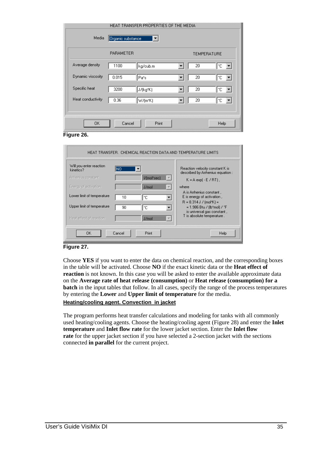| HEAT TRANSFER PROPERTIES OF THE MEDIA |                         |          |  |                    |      |  |
|---------------------------------------|-------------------------|----------|--|--------------------|------|--|
| Media                                 | Organic substance<br>▾∣ |          |  |                    |      |  |
|                                       | <b>PARAMETER</b>        |          |  | <b>TEMPERATURE</b> |      |  |
| Average density                       | 1100                    | kg/cub.m |  | 20                 | °C.  |  |
| Dynamic viscosity                     | 0.015                   | Pa*s     |  | 20                 | °C.  |  |
| Specific heat                         | 3200                    | J/(kg*K) |  | 20                 | °C.  |  |
| Heat conductivity                     | 0.36                    | W/(m*K)  |  | 20                 | °C.  |  |
|                                       |                         |          |  |                    |      |  |
| 0K                                    | Cancel                  | Print    |  |                    | Help |  |



| HEAT TRANSFER. CHEMICAL REACTION DATA AND TEMPERATURE LIMITS                       |          |                      |                                                                                                                    |  |  |  |
|------------------------------------------------------------------------------------|----------|----------------------|--------------------------------------------------------------------------------------------------------------------|--|--|--|
| Will you enter reaction<br>kinetics?<br>Arrhenius constant<br>Energy of activation | INO      | I/(mol*sec)<br>J/mol | Reaction velocity constant K is<br>described by Arrhenius equation :<br>$K = A exp(-E/RT)$<br>where                |  |  |  |
| Lower limit of temperature<br>Upper limit of temperature                           | 10<br>90 | ۰c<br>۴C             | A is Arrhenius constant.<br>E is energy of activation,<br>$R = 8.314 J / (mol*K) =$<br>= 1.986 Btu / (lb*mol) / *F |  |  |  |
| Heat effect of reaction                                                            |          | J/mol                | is universal gas constant.<br>T is absolute temperature.                                                           |  |  |  |
| ΟK                                                                                 | Cancel   | Print                | Help                                                                                                               |  |  |  |



Choose **YES** if you want to enter the data on chemical reaction, and the corresponding boxes in the table will be activated. Choose **NO** if the exact kinetic data or the **Heat effect of reaction** is not known. In this case you will be asked to enter the available approximate data on the **Average rate of heat release (consumption)** or **Heat release (consumption) for a batch** in the input tables that follow. In all cases, specify the range of the process temperatures by entering the **Lower** and **Upper limit of temperature** for the media. **Heating/cooling agent. Convection in jacket**

The program performs heat transfer calculations and modeling for tanks with all commonly used heating/cooling agents. Choose the heating/cooling agent (Figure 28) and enter the **Inlet temperature** and **Inlet flow rate** for the lower jacket section. Enter the **Inlet flow rate** for the upper jacket section if you have selected a 2-section jacket with the sections connected **in parallel** for the current project.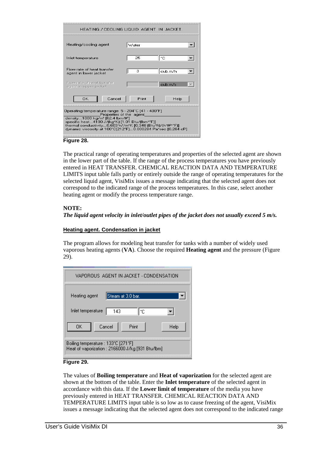| HEATING / COOLING LIQUID AGENT IN JACKET.                                                                                                                                                                                                                                                                                                 |       |         |  |  |  |  |  |
|-------------------------------------------------------------------------------------------------------------------------------------------------------------------------------------------------------------------------------------------------------------------------------------------------------------------------------------------|-------|---------|--|--|--|--|--|
| Heating/cooling agent                                                                                                                                                                                                                                                                                                                     | Water |         |  |  |  |  |  |
| Inlet temperature                                                                                                                                                                                                                                                                                                                         | 25    | l*c     |  |  |  |  |  |
| Flow rate of heat transfer<br>з<br>cub.m/h<br>agent in lower jacket                                                                                                                                                                                                                                                                       |       |         |  |  |  |  |  |
| Flow rate of heat transfer<br>agent in upper jacket                                                                                                                                                                                                                                                                                       |       | cub.m/s |  |  |  |  |  |
| Cancel<br>OΚ                                                                                                                                                                                                                                                                                                                              | Print | Help    |  |  |  |  |  |
| Operating temperature range: 5 - 204°C [41 - 400°F]<br>Properties of the agent<br>density1000 kg/m <sup>3</sup> [62.4 lbm/ft <sup>3</sup> ]<br>specific heat4190 J/(kg*K) [1.01 Btu/(lbm**F)]<br>thermal conductivity0.603 W7m*K [0.348 (Btu*ft)/[h*ft <sup>s</sup> **F]]<br>dynamic viscosity at 100°C(212°F)0.000284 Pa*sec [0.284 cP]. |       |         |  |  |  |  |  |

#### **Figure 28.**

The practical range of operating temperatures and properties of the selected agent are shown in the lower part of the table. If the range of the process temperatures you have previously entered in HEAT TRANSFER. CHEMICAL REACTION DATA AND TEMPERATURE LIMITS input table falls partly or entirely outside the range of operating temperatures for the selected liquid agent, VisiMix issues a message indicating that the selected agent does not correspond to the indicated range of the process temperatures. In this case, select another heating agent or modify the process temperature range.

#### **NOTE:**

*The liquid agent velocity in inlet/outlet pipes of the jacket does not usually exceed 5 m/s.* 

#### **Heating agent. Condensation in jacket**

The program allows for modeling heat transfer for tanks with a number of widely used vaporous heating agents (**VA**). Choose the required **Heating agent** and the pressure (Figure 29).

| VAPOROUS AGENT IN JACKET - CONDENSATION                                                 |  |  |  |  |  |
|-----------------------------------------------------------------------------------------|--|--|--|--|--|
| Steam at 3.0 bar.<br>Heating agent                                                      |  |  |  |  |  |
| Inlet temperature<br>143<br>۴C                                                          |  |  |  |  |  |
| Cancel<br>Print<br>OΚ<br>Help                                                           |  |  |  |  |  |
| Boiling temperature : 133°C [271°F]<br>Heat of vaporization: 2166000 J/kg [931 Btu/lbm] |  |  |  |  |  |

## **Figure 29.**

The values of **Boiling temperature** and **Heat of vaporization** for the selected agent are shown at the bottom of the table. Enter the **Inlet temperature** of the selected agent in accordance with this data. If the **Lower limit of temperature** of the media you have previously entered in HEAT TRANSFER. CHEMICAL REACTION DATA AND TEMPERATURE LIMITS input table is so low as to cause freezing of the agent, VisiMix issues a message indicating that the selected agent does not correspond to the indicated range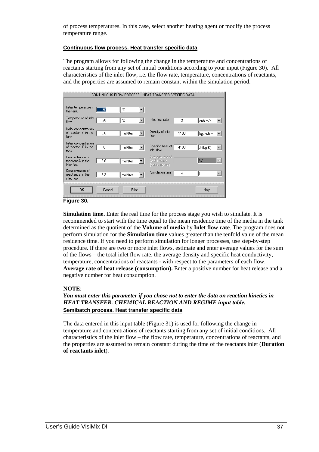of process temperatures. In this case, select another heating agent or modify the process temperature range.

#### **Continuous flow process. Heat transfer specific data**

The program allows for following the change in the temperature and concentrations of reactants starting from any set of initial conditions according to your input (Figure 30). All characteristics of the inlet flow, i.e. the flow rate, temperature, concentrations of reactants, and the properties are assumed to remain constant within the simulation period.



#### **Figure 30.**

**Simulation time.** Enter the real time for the process stage you wish to simulate. It is recommended to start with the time equal to the mean residence time of the media in the tank determined as the quotient of the **Volume of media** by **Inlet flow rate**. The program does not perform simulation for the **Simulation time** values greater than the tenfold value of the mean residence time. If you need to perform simulation for longer processes, use step-by-step procedure. If there are two or more inlet flows, estimate and enter average values for the sum of the flows – the total inlet flow rate, the average density and specific heat conductivity, temperature, concentrations of reactants - with respect to the parameters of each flow. **Average rate of heat release (consumption).** Enter a positive number for heat release and a negative number for heat consumption.

## **NOTE**:

# *You must enter this parameter if you chose not to enter the data on reaction kinetics in HEAT TRANSFER. CHEMICAL REACTION AND REGIME input table.* **Semibatch process. Heat transfer specific data**

The data entered in this input table (Figure 31) is used for following the change in temperature and concentrations of reactants starting from any set of initial conditions. All characteristics of the inlet flow – the flow rate, temperature, concentrations of reactants, and the properties are assumed to remain constant during the time of the reactants inlet (**Duration of reactants inlet**).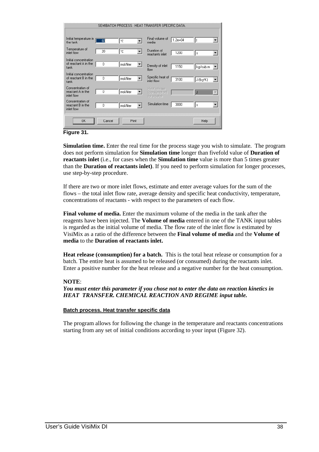|                                                       |          |              | SEMIBATCH PROCESS. HEAT TRANSFER SPECIFIC DATA. |             |          |  |
|-------------------------------------------------------|----------|--------------|-------------------------------------------------|-------------|----------|--|
| Initial temperature in<br>the tank                    | 60       | ١°C          | Final volume of<br>media                        | $1.2e + 04$ |          |  |
| Temperature of<br>inlet flow                          | 20       | ١c           | Duration of<br>reactants inlet                  | 1200        | s        |  |
| Initial concentration<br>of reactant A in the<br>tank | $\Omega$ | mol/liter    | Density of inlet<br>flow                        | 1150        | kg/cub.m |  |
| Initial concentration<br>of reactant B in the<br>tank | $\Omega$ | mol/liter    | Specific heat of<br>inlet flow                  | 3100        | J/(kg*K) |  |
| Concentration of<br>reactant A in the<br>inlet flow   | 0        | mol/liter    | Heat release<br>(consumption)<br>for a batch.   |             | IJ       |  |
| Concentration of<br>reactant B in the<br>inlet flow   | 0        | mol/liter    | Simulation time                                 | 3000        | s        |  |
| <b>OK</b>                                             | Cancel   | <b>Print</b> |                                                 |             | Help     |  |

**Figure 31.** 

**Simulation time.** Enter the real time for the process stage you wish to simulate. The program does not perform simulation for **Simulation time** longer than fivefold value of **Duration of reactants inlet** (i.e., for cases when the **Simulation time** value is more than 5 times greater than the **Duration of reactants inlet)**. If you need to perform simulation for longer processes, use step-by-step procedure.

If there are two or more inlet flows, estimate and enter average values for the sum of the flows – the total inlet flow rate, average density and specific heat conductivity, temperature, concentrations of reactants - with respect to the parameters of each flow.

**Final volume of media.** Enter the maximum volume of the media in the tank after the reagents have been injected. The **Volume of media** entered in one of the TANK input tables is regarded as the initial volume of media. The flow rate of the inlet flow is estimated by VisiMix as a ratio of the difference between the **Final volume of media** and the **Volume of media** to the **Duration of reactants inlet.**

**Heat release (consumption) for a batch.** This is the total heat release or consumption for a batch. The entire heat is assumed to be released (or consumed) during the reactants inlet. Enter a positive number for the heat release and a negative number for the heat consumption.

## **NOTE**:

*You must enter this parameter if you chose not to enter the data on reaction kinetics in HEAT TRANSFER. CHEMICAL REACTION AND REGIME input table.* 

## **Batch process. Heat transfer specific data**

The program allows for following the change in the temperature and reactants concentrations starting from any set of initial conditions according to your input (Figure 32).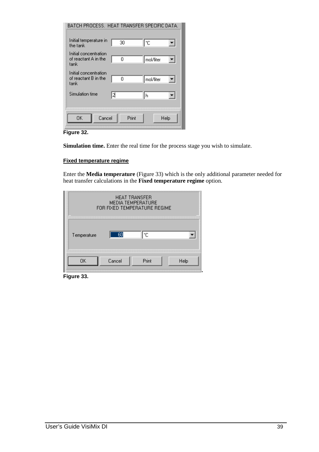| BATCH PROCESS. HEAT TRANSFER SPECIFIC DATA.           |       |                |
|-------------------------------------------------------|-------|----------------|
| Initial temperature in<br>the tank                    | 30    | ۴C             |
| Initial concentration<br>of reactant A in the<br>tank | 0     | mol/liter<br>키 |
| Initial concentration<br>of reactant B in the<br>tank | 0     | mol/liter      |
| Simulation time                                       | l2    | h              |
| Cancel<br>OΚ                                          | Print | Help           |

**Figure 32.** 

**Simulation time.** Enter the real time for the process stage you wish to simulate.

#### **Fixed temperature regime**

Enter the **Media temperature** (Figure 33) which is the only additional parameter needed for heat transfer calculations in the **Fixed temperature regime** option.

| <b>HEAT TRANSFER</b><br><b>MEDIA TEMPERATURE</b><br>FOR FIXED TEMPERATURE REGIME |  |  |  |  |
|----------------------------------------------------------------------------------|--|--|--|--|
| 60<br>۴C<br>Temperature                                                          |  |  |  |  |
| Print<br>Cancel<br>Help<br>ΠK                                                    |  |  |  |  |

**Figure 33.**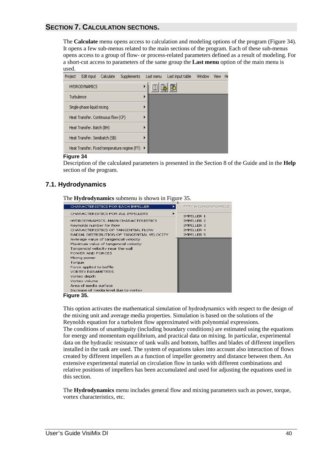# **SECTION 7. CALCULATION SECTIONS.**

The **Calculate** menu opens access to calculation and modeling options of the program (Figure 34). It opens a few sub-menus related to the main sections of the program. Each of these sub-menus opens access to a group of flow- or process-related parameters defined as a result of modeling. For a short-cut access to parameters of the same group the **Last menu** option of the main menu is used.



#### **Figure 34**

Description of the calculated parameters is presented in the Section 8 of the Guide and in the **Help** section of the program.

# **7.1. Hydrodynamics**

The **Hydrodynamics** submenu is shown in Figure 35.



**Figure 35.** 

This option activates the mathematical simulation of hydrodynamics with respect to the design of the mixing unit and average media properties. Simulation is based on the solutions of the Reynolds equation for a turbulent flow approximated with polynomial expressions. The conditions of unambiguity (including boundary conditions) are estimated using the equations for energy and momentum equilibrium, and practical data on mixing. In particular, experimental data on the hydraulic resistance of tank walls and bottom, baffles and blades of different impellers installed in the tank are used. The system of equations takes into account also interaction of flows created by different impellers as a function of impeller geometry and distance between them. An extensive experimental material on circulation flow in tanks with different combinations and relative positions of impellers has been accumulated and used for adjusting the equations used in this section.

The **Hydrodynamics** menu includes general flow and mixing parameters such as power, torque, vortex characteristics, etc.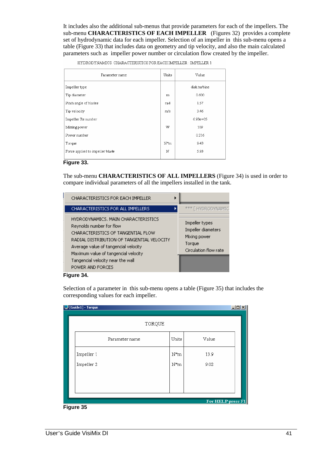It includes also the additional sub-menus that provide parameters for each of the impellers. The sub-menu **CHARACTERISTICS OF EACH IMPELLER** (Figures 32) provides a complete set of hydrodynamic data for each impeller. Selection of an impeller in this sub-menu opens a table (Figure 33) that includes data on geometry and tip velocity, and also the main calculated parameters such as impeller power number or circulation flow created by the impeller.

HYDRODYNAMICS. CHARACTERISTICS FOR EACH IMPELLER : IMPELLER  $1$ 

| Parameter name                  |     | Value        |
|---------------------------------|-----|--------------|
| Impeller type                   |     | disk turbine |
| Tip diameter                    | m   | 0.600        |
| Pitch angle of blades           | rad | 1.57         |
| Tip velocity                    | m/s | 3.46         |
| Impeller Re number              |     | $6.93e + 05$ |
| Mixing power                    | W   | 109          |
| Power number                    |     | 0.216        |
| Torque                          | N*m | 9.43         |
| Force applied to impeller blade |     | 5.93         |
|                                 | N   |              |

#### **Figure 33.**

The sub-menu **CHARACTERISTICS OF ALL IMPELLERS** (Figure 34) is used in order to compare individual parameters of all the impellers installed in the tank.

| <b>CHARACTERISTICS FOR EACH IMPELLER</b>                                                                                                                                                                                                                                                     |                                                                                         |
|----------------------------------------------------------------------------------------------------------------------------------------------------------------------------------------------------------------------------------------------------------------------------------------------|-----------------------------------------------------------------------------------------|
| <b>CHARACTERISTICS FOR ALL IMPELLERS</b>                                                                                                                                                                                                                                                     | **** [ HYDRODYNAMIC                                                                     |
| HYDRODYNAMICS. MAIN CHARACTERISTICS<br>Reynolds number for flow<br>CHARACTERISTICS OF TANGENTIAL FLOW<br>RADIAL DISTRIBUTION OF TANGENTIAL VELOCITY<br>Average value of tangencial velocity<br>Maximum value of tangencial velocity<br>Tangencial velocity near the wall<br>POWER AND FORCES | Impeller types<br>Impeller diameters<br>Mixing power<br>Torque<br>Circulation flow rate |

#### **Figure 34.**

Selection of a parameter in this sub-menu opens a table (Figure 35) that includes the corresponding values for each impeller.

| <b>D</b> [Guide1] - Torque | TORQUE         |        |                   | $ I \square  X $ |
|----------------------------|----------------|--------|-------------------|------------------|
|                            | Parameter name | Units  | Value             |                  |
| Impeller 1                 |                | $N^*m$ | 13.9              |                  |
| Impeller 2                 |                | $N^*m$ | 9.02              |                  |
|                            |                |        |                   |                  |
|                            |                |        |                   |                  |
| -- ^                       |                |        | For HELP press F1 |                  |

**Figure 35**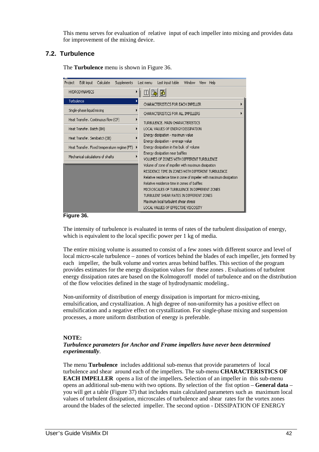This menu serves for evaluation of relative input of each impeller into mixing and provides data for improvement of the mixing device.

# **7.2. Turbulence**

The **Turbulence** menu is shown in Figure 36.

| Edit input<br>Calculate<br>Supplements<br>Project | Last input table<br>Window<br>Last menu<br>Help<br>View                                                   |  |  |  |  |  |
|---------------------------------------------------|-----------------------------------------------------------------------------------------------------------|--|--|--|--|--|
| <b>HYDRODYNAMICS</b>                              | r                                                                                                         |  |  |  |  |  |
| Turbulence                                        | CHARACTERISTICS FOR EACH IMPELLER                                                                         |  |  |  |  |  |
| Single-phase liquid mixing                        | CHARACTERISTICS FOR ALL IMPELLERS                                                                         |  |  |  |  |  |
| Heat Transfer. Continuous flow (CF)               | TURBULENCE, MAIN CHARACTERISTICS                                                                          |  |  |  |  |  |
| Heat Transfer. Batch (BH)                         | LOCAL VALUES OF ENERGY DISSIPATION                                                                        |  |  |  |  |  |
| Heat Transfer, Semibatch (SB)                     | Energy dissipation - maximum value<br>Energy dissipation - average value                                  |  |  |  |  |  |
| Heat Transfer. Fixed temperature regime (FT)      | Energy dissipation in the bulk of volume<br>▸                                                             |  |  |  |  |  |
| Mechanical calculations of shafts.                | Energy dissipation near baffles<br>VOLUMES OF ZONES WITH DIFFERENT TURBULENCE.                            |  |  |  |  |  |
|                                                   | Volume of zone of impeller with maximum dissipation<br>RESIDENCE TIME IN ZONES WITH DIFFERENT TURBULENCE. |  |  |  |  |  |
|                                                   | Relative residence time in zone of impeller with maximum dissipation                                      |  |  |  |  |  |
|                                                   | Relative residence time in zones of baffles.                                                              |  |  |  |  |  |
|                                                   | MICROSCALES OF TURBULENCE IN DIFFERENT ZONES.                                                             |  |  |  |  |  |
|                                                   | TURBULENT SHEAR RATES IN DIFFERENT ZONES<br>Maximum local turbulent shear stress                          |  |  |  |  |  |
|                                                   | LOCAL VALUES OF EFFECTIVE VISCOSITY                                                                       |  |  |  |  |  |

**Figure 36.** 

The intensity of turbulence is evaluated in terms of rates of the turbulent dissipation of energy, which is equivalent to the local specific power per 1 kg of media.

The entire mixing volume is assumed to consist of a few zones with different source and level of local micro-scale turbulence – zones of vortices behind the blades of each impeller, jets formed by each impeller, the bulk volume and vortex areas behind baffles. This section of the program provides estimates for the energy dissipation values for these zones . Evaluations of turbulent energy dissipation rates are based on the Kolmogoroff model of turbulence and on the distribution of the flow velocities defined in the stage of hydrodynamic modeling..

Non-uniformity of distribution of energy dissipation is important for micro-mixing, emulsification, and crystallization. A high degree of non-uniformity has a positive effect on emulsification and a negative effect on crystallization. For single-phase mixing and suspension processes, a more uniform distribution of energy is preferable.

## **NOTE:**

## *Turbulence parameters for Anchor and Frame impellers have never been determined experimentally*.

The menu **Turbulence** includes additional sub-menus that provide parameters of local turbulence and shear around each of the impellers. The sub-menu **CHARACTERISTICS OF EACH IMPELLER** opens a list of the impellers**.** Selection of an impeller in this sub-menu opens an additional sub-menu with two options. By selection of the fist option – **General data** – you will get a table (Figure 37) that includes main calculated parameters such as maximum local values of turbulent dissipation, microscales of turbulence and shear rates for the vortex zones around the blades of the selected impeller. The second option - DISSIPATION OF ENERGY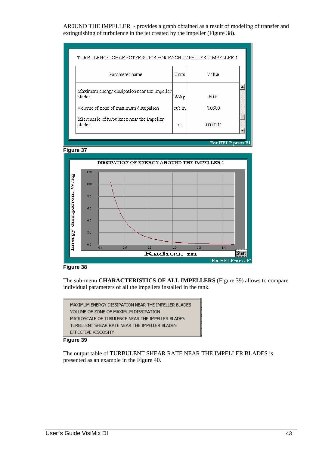AR0UND THE IMPELLER - provides a graph obtained as a result of modeling of transfer and extinguishing of turbulence in the jet created by the impeller (Figure 38).

| Units |          |
|-------|----------|
|       | Value    |
| W/kg  | 80.6     |
| cub.m | 0.0300   |
| m     | 0.000111 |
|       |          |







The sub-menu **CHARACTERISTICS OF ALL IMPELLERS** (Figure 39) allows to compare individual parameters of all the impellers installed in the tank.



#### **Figure 39**

The output table of TURBULENT SHEAR RATE NEAR THE IMPELLER BLADES is presented as an example in the Figure 40.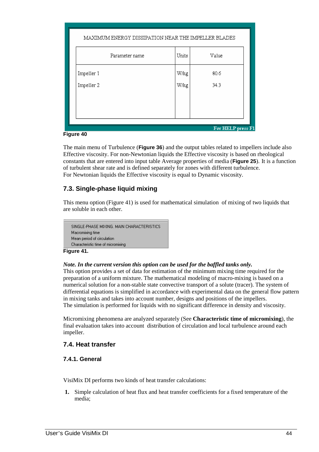|                   | MAXIMUM ENERGY DISSIPATION NEAR THE IMPELLER BLADES |       |       |  |  |  |
|-------------------|-----------------------------------------------------|-------|-------|--|--|--|
|                   | Parameter name                                      | Units | Value |  |  |  |
|                   | Impeller 1                                          | W/kg  | 80.6  |  |  |  |
|                   | Impeller 2                                          | W/kg  | 34.3  |  |  |  |
|                   |                                                     |       |       |  |  |  |
|                   |                                                     |       |       |  |  |  |
| For HELP press F1 |                                                     |       |       |  |  |  |

#### **Figure 40**

The main menu of Turbulence (**Figure 36**) and the output tables related to impellers include also Effective viscosity. For non-Newtonian liquids the Effective viscosity is based on rheological constants that are entered into input table Average properties of media (**Figure 25**). It is a function of turbulent shear rate and is defined separately for zones with different turbulence. For Newtonian liquids the Effective viscosity is equal to Dynamic viscosity.

# **7.3. Single-phase liquid mixing**

This menu option (Figure 41) is used for mathematical simulation of mixing of two liquids that are soluble in each other.

```
SINGLE-PHASE MIXING, MAIN CHARACTERISTICS
Macromixing time
Mean period of circulation
Characteristic time of micromixing
```
#### **Figure 41.**

## *Note. In the current version this option can be used for the baffled tanks only.*

This option provides a set of data for estimation of the minimum mixing time required for the preparation of a uniform mixture. The mathematical modeling of macro-mixing is based on a numerical solution for a non-stable state convective transport of a solute (tracer). The system of differential equations is simplified in accordance with experimental data on the general flow pattern in mixing tanks and takes into account number, designs and positions of the impellers. The simulation is performed for liquids with no significant difference in density and viscosity.

Micromixing phenomena are analyzed separately (See **Characteristic time of micromixing**), the final evaluation takes into account distribution of circulation and local turbulence around each impeller.

# **7.4. Heat transfer**

## **7.4.1. General**

VisiMix DI performs two kinds of heat transfer calculations:

**1.** Simple calculation of heat flux and heat transfer coefficients for a fixed temperature of the media;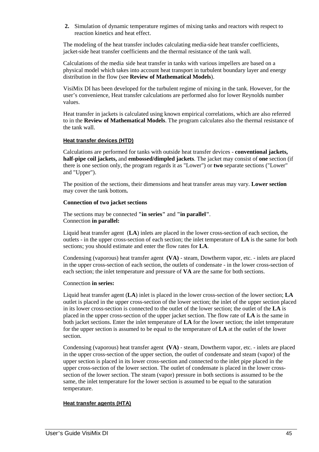**2.** Simulation of dynamic temperature regimes of mixing tanks and reactors with respect to reaction kinetics and heat effect.

The modeling of the heat transfer includes calculating media-side heat transfer coefficients, jacket-side heat transfer coefficients and the thermal resistance of the tank wall.

Calculations of the media side heat transfer in tanks with various impellers are based on a physical model which takes into account heat transport in turbulent boundary layer and energy distribution in the flow (see **Review of Mathematical Models**).

VisiMix DI has been developed for the turbulent regime of mixing in the tank. However, for the user's convenience, Heat transfer calculations are performed also for lower Reynolds number values.

Heat transfer in jackets is calculated using known empirical correlations, which are also referred to in the **Review of Mathematical Models**. The program calculates also the thermal resistance of the tank wall.

## **Heat transfer devices (HTD)**

Calculations are performed for tanks with outside heat transfer devices - **conventional jackets, half-pipe coil jackets,** and **embossed/dimpled jackets**. The jacket may consist of **one** section (if there is one section only, the program regards it as "Lower") or **two** separate sections ("Lower" and "Upper").

The position of the sections, their dimensions and heat transfer areas may vary. **Lower section**  may cover the tank bottom**.** 

#### **Connection of two jacket sections**

The sections may be connected **"in series"** and **"in parallel"**. Connection **in parallel:** 

Liquid heat transfer agent (**LA**) inlets are placed in the lower cross-section of each section, the outlets - in the upper cross-section of each section; the inlet temperature of **LA** is the same for both sections; you should estimate and enter the flow rates for **LA**.

Condensing (vaporous) heat transfer agent **(VA)** - steam, Dowtherm vapor, etc. - inlets are placed in the upper cross-section of each section, the outlets of condensate - in the lower cross-section of each section; the inlet temperature and pressure of **VA** are the same for both sections.

#### Connection **in series:**

Liquid heat transfer agent (**LA**) inlet is placed in the lower cross-section of the lower section; **LA**  outlet is placed in the upper cross-section of the lower section; the inlet of the upper section placed in its lower cross-section is connected to the outlet of the lower section; the outlet of the **LA** is placed in the upper cross-section of the upper jacket section. The flow rate of **LA** is the same in both jacket sections. Enter the inlet temperature of **LA** for the lower section; the inlet temperature for the upper section is assumed to be equal to the temperature of **LA** at the outlet of the lower section.

Condensing (vaporous) heat transfer agent **(VA)** - steam, Dowtherm vapor, etc. - inlets are placed in the upper cross-section of the upper section, the outlet of condensate and steam (vapor) of the upper section is placed in its lower cross-section and connected to the inlet pipe placed in the upper cross-section of the lower section. The outlet of condensate is placed in the lower crosssection of the lower section. The steam (vapor) pressure in both sections is assumed to be the same, the inlet temperature for the lower section is assumed to be equal to the saturation temperature.

## **Heat transfer agents (HTA)**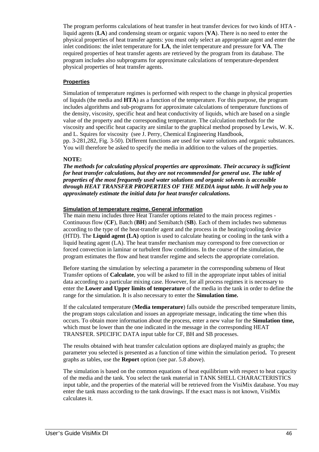The program performs calculations of heat transfer in heat transfer devices for two kinds of HTA liquid agents (**LA**) and condensing steam or organic vapors (**VA**). There is no need to enter the physical properties of heat transfer agents: you must only select an appropriate agent and enter the inlet conditions: the inlet temperature for **LA**, the inlet temperature and pressure for **VA**. The required properties of heat transfer agents are retrieved by the program from its database. The program includes also subprograms for approximate calculations of temperature-dependent physical properties of heat transfer agents.

#### **Properties**

Simulation of temperature regimes is performed with respect to the change in physical properties of liquids (the media and **HTA**) as a function of the temperature. For this purpose, the program includes algorithms and sub-programs for approximate calculations of temperature functions of the density, viscosity, specific heat and heat conductivity of liquids, which are based on a single value of the property and the corresponding temperature. The calculation methods for the viscosity and specific heat capacity are similar to the graphical method proposed by Lewis, W. K. and L. Squires for viscosity (see J. Perry, Chemical Engineering Handbook, pp. 3-281,282, Fig. 3-50). Different functions are used for water solutions and organic substances. You will therefore be asked to specify the media in addition to the values of the properties.

#### **NOTE:**

*The methods for calculating physical properties are approximate. Their accuracy is sufficient for heat transfer calculations, but they are not recommended for general use. The table of properties of the most frequently used water solutions and organic solvents is accessible through HEAT TRANSFER PROPERTIES OF THE MEDIA input table. It will help you to approximately estimate the initial data for heat transfer calculations.* 

#### **Simulation of temperature regime. General information**

The main menu includes three Heat Transfer options related to the main process regimes - Continuous flow (**CF**), Batch (**BH**) and Semibatch (**SB**). Each of them includes two submenus according to the type of the heat-transfer agent and the process in the heating/cooling device (HTD). The **Liquid agent (LA)** option is used to calculate heating or cooling in the tank with a liquid heating agent (LA). The heat transfer mechanism may correspond to free convection or forced convection in laminar or turbulent flow conditions. In the course of the simulation, the program estimates the flow and heat transfer regime and selects the appropriate correlation.

Before starting the simulation by selecting a parameter in the corresponding submenu of Heat Transfer options of **Calculate**, you will be asked to fill in the appropriate input tables of initial data according to a particular mixing case. However, for all process regimes it is necessary to enter the **Lower and Upper limits of temperature** of the media in the tank in order to define the range for the simulation. It is also necessary to enter the **Simulation time.** 

If the calculated temperature (**Media temperature**) falls outside the prescribed temperature limits, the program stops calculation and issues an appropriate message, indicating the time when this occurs. To obtain more information about the process, enter a new value for the **Simulation time,** which must be lower than the one indicated in the message in the corresponding HEAT TRANSFER. SPECIFIC DATA input table for CF, BH and SB processes.

The results obtained with heat transfer calculation options are displayed mainly as graphs; the parameter you selected is presented as a function of time within the simulation period**.** To present graphs as tables, use the **Report** option (see par. 5.8 above).

The simulation is based on the common equations of heat equilibrium with respect to heat capacity of the media and the tank. You select the tank material in TANK SHELL CHARACTERISTICS input table, and the properties of the material will be retrieved from the VisiMix database. You may enter the tank mass according to the tank drawings. If the exact mass is not known, VisiMix calculates it.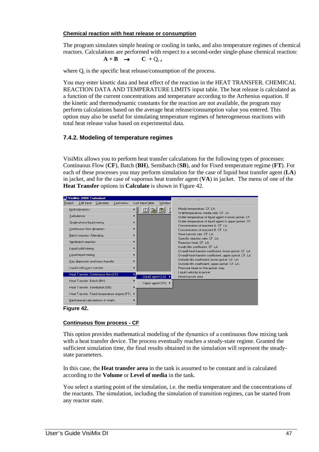#### **Chemical reaction with heat release or consumption**

The program simulates simple heating or cooling in tanks, and also temperature regimes of chemical reactors. Calculations are performed with respect to a second-order single-phase chemical reaction:

$$
A + B \rightarrow C + Q_r,
$$

where  $Q_r$  is the specific heat release/consumption of the process.

You may enter kinetic data and heat effect of the reaction in the HEAT TRANSFER. CHEMICAL REACTION DATA AND TEMPERATURE LIMITS input table. The heat release is calculated as a function of the current concentrations and temperature according to the Arrhenius equation. If the kinetic and thermodynamic constants for the reaction are not available, the program may perform calculations based on the average heat release/consumption value you entered. This option may also be useful for simulating temperature regimes of heterogeneous reactions with total heat release value based on experimental data.

# **7.4.2. Modeling of temperature regimes**

VisiMix allows you to perform heat transfer calculations for the following types of processes: Continuous Flow (**CF**), Batch (**BH**), Semibatch (**SB**), and for Fixed temperature regime (**FT**). For each of these processes you may perform simulation for the case of liquid heat transfer agent (**LA**) in jacket, and for the case of vaporous heat transfer agent (**VA**) in jacket. The menu of one of the **Heat Transfer** options in **Calculate** is shown in Figure 42.



**Figure 42.** 

#### **Continuous flow process - CF**

This option provides mathematical modeling of the dynamics of a continuous flow mixing tank with a heat transfer device. The process eventually reaches a steady-state regime. Granted the sufficient simulation time, the final results obtained in the simulation will represent the steadystate parameters.

In this case, the **Heat transfer area** in the tank is assumed to be constant and is calculated according to the **Volume** or **Level of media** in the tank.

You select a starting point of the simulation, i.e. the media temperature and the concentrations of the reactants. The simulation, including the simulation of transition regimes, can be started from any reactor state.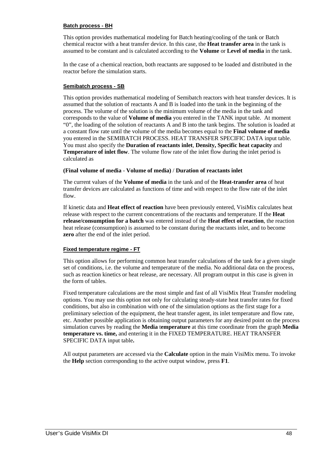#### **Batch process - BH**

This option provides mathematical modeling for Batch heating/cooling of the tank or Batch chemical reactor with a heat transfer device. In this case, the **Heat transfer area** in the tank is assumed to be constant and is calculated according to the **Volume** or **Level of media** in the tank.

In the case of a chemical reaction, both reactants are supposed to be loaded and distributed in the reactor before the simulation starts.

#### **Semibatch process - SB**

This option provides mathematical modeling of Semibatch reactors with heat transfer devices. It is assumed that the solution of reactants A and B is loaded into the tank in the beginning of the process. The volume of the solution is the minimum volume of the media in the tank and corresponds to the value of **Volume of media** you entered in the TANK input table. At moment "0", the loading of the solution of reactants A and B into the tank begins. The solution is loaded at a constant flow rate until the volume of the media becomes equal to the **Final volume of media**  you entered in the SEMIBATCH PROCESS. HEAT TRANSFER SPECIFIC DATA input table. You must also specify the **Duration of reactants inlet**, **Density, Specific heat capacity** and **Temperature of inlet flow**. The volume flow rate of the inlet flow during the inlet period is calculated as

#### **(Final volume of media** - **Volume of media)** / **Duration of reactants inlet**

The current values of the **Volume of media** in the tank and of the **Heat-transfer area** of heat transfer devices are calculated as functions of time and with respect to the flow rate of the inlet flow.

If kinetic data and **Heat effect of reaction** have been previously entered, VisiMix calculates heat release with respect to the current concentrations of the reactants and temperature. If the **Heat release/consumption for a batch** was entered instead of the **Heat effect of reaction**, the reaction heat release (consumption) is assumed to be constant during the reactants inlet, and to become **zero** after the end of the inlet period.

#### **Fixed temperature regime - FT**

This option allows for performing common heat transfer calculations of the tank for a given single set of conditions, i.e. the volume and temperature of the media. No additional data on the process, such as reaction kinetics or heat release, are necessary. All program output in this case is given in the form of tables.

Fixed temperature calculations are the most simple and fast of all VisiMix Heat Transfer modeling options. You may use this option not only for calculating steady-state heat transfer rates for fixed conditions, but also in combination with one of the simulation options as the first stage for a preliminary selection of the equipment, the heat transfer agent, its inlet temperature and flow rate, etc. Another possible application is obtaining output parameters for any desired point on the process simulation curves by reading the **Media** t**emperature** at this time coordinate from the graph **Media temperature vs. time,** and entering it in the FIXED TEMPERATURE. HEAT TRANSFER SPECIFIC DATA input table**.** 

All output parameters are accessed via the **Calculate** option in the main VisiMix menu. To invoke the **Help** section corresponding to the active output window, press **F1**.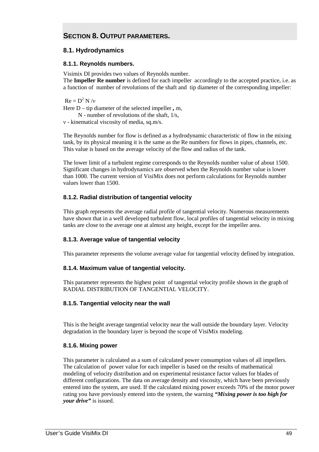# **SECTION 8. OUTPUT PARAMETERS.**

# **8.1. Hydrodynamics**

# **8.1.1. Reynolds numbers.**

Visimix DI provides two values of Reynolds number. The **Impeller Re number** is defined for each impeller accordingly to the accepted practice, i.e. as a function of number of revolutions of the shaft and tip diameter of the corresponding impeller:

 $Re = D^2 N/v$ Here D – tip diameter of the selected impeller *,* m, N - number of revolutions of the shaft, 1/s, ν - kinematical viscosity of media, sq.m/s.

The Reynolds number for flow is defined as a hydrodynamic characteristic of flow in the mixing tank, by its physical meaning it is the same as the Re numbers for flows in pipes, channels, etc. This value is based on the average velocity of the flow and radius of the tank.

The lower limit of a turbulent regime corresponds to the Reynolds number value of about 1500. Significant changes in hydrodynamics are observed when the Reynolds number value is lower than 1000. The current version of VisiMix does not perform calculations for Reynolds number values lower than 1500.

# **8.1.2. Radial distribution of tangential velocity**

This graph represents the average radial profile of tangential velocity. Numerous measurements have shown that in a well developed turbulent flow, local profiles of tangential velocity in mixing tanks are close to the average one at almost any height, except for the impeller area.

# **8.1.3. Average value of tangential velocity**

This parameter represents the volume average value for tangential velocity defined by integration.

# **8.1.4. Maximum value of tangential velocity.**

This parameter represents the highest point of tangential velocity profile shown in the graph of RADIAL DISTRIBUTION OF TANGENTIAL VELOCITY.

## **8.1.5. Tangential velocity near the wall**

This is the height average tangential velocity near the wall outside the boundary layer. Velocity degradation in the boundary layer is beyond the scope of VisiMix modeling.

# **8.1.6. Mixing power**

This parameter is calculated as a sum of calculated power consumption values of all impellers. The calculation of power value for each impeller is based on the results of mathematical modeling of velocity distribution and on experimental resistance factor values for blades of different configurations. The data on average density and viscosity, which have been previously entered into the system, are used. If the calculated mixing power exceeds 70% of the motor power rating you have previously entered into the system, the warning *"Mixing power is too high for your drive"* is issued.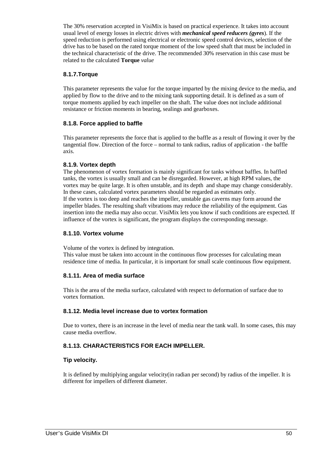The 30% reservation accepted in VisiMix is based on practical experience. It takes into account usual level of energy losses in electric drives with *mechanical speed reducers (gyres*). If the speed reduction is performed using electrical or electronic speed control devices, selection of the drive has to be based on the rated torque moment of the low speed shaft that must be included in the technical characteristic of the drive. The recommended 30% reservation in this case must be related to the calculated **Torque** *value* 

# **8.1.7.Torque**

This parameter represents the value for the torque imparted by the mixing device to the media, and applied by flow to the drive and to the mixing tank supporting detail. It is defined as a sum of torque moments applied by each impeller on the shaft. The value does not include additional resistance or friction moments in bearing, sealings and gearboxes.

# **8.1.8. Force applied to baffle**

This parameter represents the force that is applied to the baffle as a result of flowing it over by the tangential flow. Direction of the force – normal to tank radius, radius of application - the baffle axis.

# **8.1.9. Vortex depth**

The phenomenon of vortex formation is mainly significant for tanks without baffles. In baffled tanks, the vortex is usually small and can be disregarded. However, at high RPM values, the vortex may be quite large. It is often unstable, and its depth and shape may change considerably. In these cases, calculated vortex parameters should be regarded as estimates only. If the vortex is too deep and reaches the impeller, unstable gas caverns may form around the impeller blades. The resulting shaft vibrations may reduce the reliability of the equipment. Gas insertion into the media may also occur. VisiMix lets you know if such conditions are expected. If influence of the vortex is significant, the program displays the corresponding message.

## **8.1.10. Vortex volume**

Volume of the vortex is defined by integration.

This value must be taken into account in the continuous flow processes for calculating mean residence time of media. In particular, it is important for small scale continuous flow equipment.

# **8.1.11. Area of media surface**

This is the area of the media surface, calculated with respect to deformation of surface due to vortex formation.

# **8.1.12. Media level increase due to vortex formation**

Due to vortex, there is an increase in the level of media near the tank wall. In some cases, this may cause media overflow.

# **8.1.13. CHARACTERISTICS FOR EACH IMPELLER.**

# **Tip velocity.**

It is defined by multiplying angular velocity(in radian per second) by radius of the impeller. It is different for impellers of different diameter.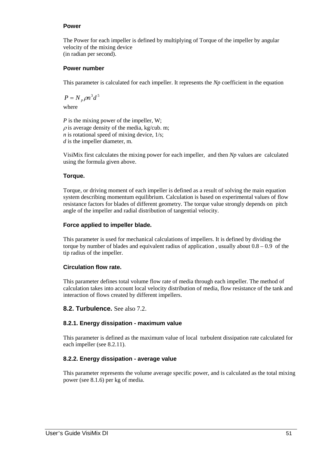## **Power**

The Power for each impeller is defined by multiplying of Torque of the impeller by angular velocity of the mixing device (in radian per second).

# **Power number**

This parameter is calculated for each impeller. It represents the *Np* coefficient in the equation

$$
P = N_p \rho n^3 d^5
$$

where

*P* is the mixing power of the impeller, W;  $\rho$  is average density of the media, kg/cub. m: *n* is rotational speed of mixing device,  $1/s$ ; *d* is the impeller diameter, m.

VisiMix first calculates the mixing power for each impeller, and then *Np* values are calculated using the formula given above.

# **Torque.**

Torque, or driving moment of each impeller is defined as a result of solving the main equation system describing momentum equilibrium. Calculation is based on experimental values of flow resistance factors for blades of different geometry. The torque value strongly depends on pitch angle of the impeller and radial distribution of tangential velocity.

# **Force applied to impeller blade.**

This parameter is used for mechanical calculations of impellers. It is defined by dividing the torque by number of blades and equivalent radius of application , usually about 0.8 – 0.9 of the tip radius of the impeller.

# **Circulation flow rate.**

This parameter defines total volume flow rate of media through each impeller. The method of calculation takes into account local velocity distribution of media, flow resistance of the tank and interaction of flows created by different impellers.

# **8.2. Turbulence.** See also 7.2.

## **8.2.1. Energy dissipation - maximum value**

This parameter is defined as the maximum value of local turbulent dissipation rate calculated for each impeller (see 8.2.11).

## **8.2.2. Energy dissipation - average value**

This parameter represents the volume average specific power, and is calculated as the total mixing power (see 8.1.6) per kg of media.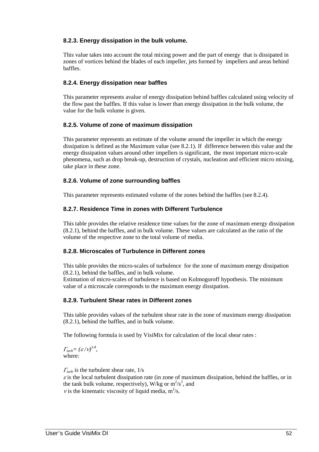# **8.2.3. Energy dissipation in the bulk volume.**

This value takes into account the total mixing power and the part of energy that is dissipated in zones of vortices behind the blades of each impeller, jets formed by impellers and areas behind baffles.

# **8.2.4. Energy dissipation near baffles**

This parameter represents avalue of energy dissipation behind baffles calculated using velocity of the flow past the baffles. If this value is lower than energy dissipation in the bulk volume, the value for the bulk volume is given.

# **8.2.5. Volume of zone of maximum dissipation**

This parameter represents an estimate of the volume around the impeller in which the energy dissipation is defined as the Maximum value (see 8.2.1). If difference between this value and the energy dissipation values around other impellers is significant, the most important micro-scale phenomena, such as drop break-up, destruction of crystals, nucleation and efficient micro mixing, take place in these zone.

# **8.2.6. Volume of zone surrounding baffles**

This parameter represents estimated volume of the zones behind the baffles (see 8.2.4).

# **8.2.7. Residence Time in zones with Different Turbulence**

This table provides the relative residence time values for the zone of maximum energy dissipation (8.2.1), behind the baffles, and in bulk volume. These values are calculated as the ratio of the volume of the respective zone to the total volume of media.

# **8.2.8. Microscales of Turbulence in Different zones**

This table provides the micro-scales of turbulence for the zone of maximum energy dissipation (8.2.1), behind the baffles, and in bulk volume.

Estimation of micro-scales of turbulence is based on Kolmogoroff hypothesis. The minimum value of a microscale corresponds to the maximum energy dissipation.

## **8.2.9. Turbulent Shear rates in Different zones**

This table provides values of the turbulent shear rate in the zone of maximum energy dissipation (8.2.1), behind the baffles, and in bulk volume.

The following formula is used by VisiMix for calculation of the local shear rates :

 $\Gamma_{turb}=(\varepsilon/\nu)^{1/4},$ where:

 $\Gamma_{turb}$  is the turbulent shear rate,  $1/s$ 

 $\varepsilon$  is the local turbulent dissipation rate (in zone of maximum dissipation, behind the baffles, or in the tank bulk volume, respectively), W/kg or  $m^2/s^3$ , and *v* is the kinematic viscosity of liquid media,  $m^2/s$ .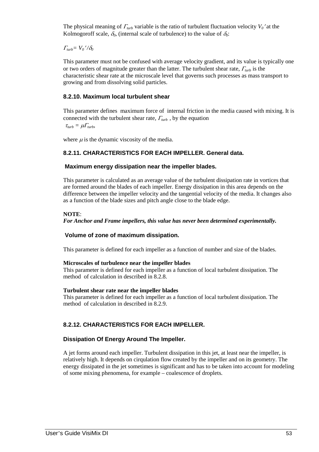The physical meaning of  $\Gamma_{turb}$  variable is the ratio of turbulent fluctuation velocity  $V_0$ ' at the Kolmogoroff scale,  $\delta_0$ , (internal scale of turbulence) to the value of  $\delta_0$ :

<sup>Γ</sup>*turb= V0*′ */*δ*<sup>0</sup>* 

This parameter must not be confused with average velocity gradient, and its value is typically one or two orders of magnitude greater than the latter. The turbulent shear rate, <sup>Γ</sup>*turb* is the characteristic shear rate at the microscale level that governs such processes as mass transport to growing and from dissolving solid particles.

#### **8.2.10. Maximum local turbulent shear**

This parameter defines maximum force of internal friction in the media caused with mixing. It is connected with the turbulent shear rate, <sup>Γ</sup>*turb* , by the equation

 $\tau_{turb} = \mu \Gamma_{turb}$ 

where  $\mu$  is the dynamic viscosity of the media.

## **8.2.11. CHARACTERISTICS FOR EACH IMPELLER. General data.**

#### **Maximum energy dissipation near the impeller blades.**

This parameter is calculated as an average value of the turbulent dissipation rate in vortices that are formed around the blades of each impeller. Energy dissipation in this area depends on the difference between the impeller velocity and the tangential velocity of the media. It changes also as a function of the blade sizes and pitch angle close to the blade edge.

#### **NOTE**:

#### *For Anchor and Frame impellers, this value has never been determined experimentally.*

## **Volume of zone of maximum dissipation.**

This parameter is defined for each impeller as a function of number and size of the blades.

#### **Microscales of turbulence near the impeller blades**

This parameter is defined for each impeller as a function of local turbulent dissipation. The method of calculation in described in 8.2.8.

#### **Turbulent shear rate near the impeller blades**

This parameter is defined for each impeller as a function of local turbulent dissipation. The method of calculation in described in 8.2.9.

## **8.2.12. CHARACTERISTICS FOR EACH IMPELLER.**

## **Dissipation Of Energy Around The Impeller.**

A jet forms around each impeller. Turbulent dissipation in this jet, at least near the impeller, is relatively high. It depends on cirqulation flow created by the impeller and on its geometry. The energy dissipated in the jet sometimes is significant and has to be taken into account for modeling of some mixing phenomena, for example – coalescence of droplets.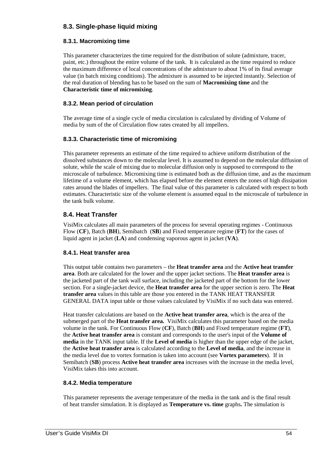# **8.3. Single-phase liquid mixing**

# **8.3.1. Macromixing time**

This parameter characterizes the time required for the distribution of solute (admixture, tracer, paint, etc.) throughout the entire volume of the tank. It is calculated as the time required to reduce the maximum difference of local concentrations of the admixture to about 1% of its final average value (in batch mixing conditions). The admixture is assumed to be injected instantly. Selection of the real duration of blending has to be based on the sum of **Macromixing time** and the **Characteristic time of micromixing**.

# **8.3.2. Mean period of circulation**

The average time of a single cycle of media circulation is calculated by dividing of Volume of media by sum of the of Circulation flow rates created by all impellers.

# **8.3.3. Characteristic time of micromixing**

This parameter represents an estimate of the time required to achieve uniform distribution of the dissolved substances down to the molecular level. It is assumed to depend on the molecular diffusion of solute, while the scale of mixing due to molecular diffusion only is supposed to correspond to the microscale of turbulence. Micromixing time is estimated both as the diffusion time, and as the maximum lifetime of a volume element, which has elapsed before the element enters the zones of high dissipation rates around the blades of impellers. The final value of this parameter is calculated with respect to both estimates. Characteristic size of the volume element is assumed equal to the microscale of turbulence in the tank bulk volume.

# **8.4. Heat Transfer**

VisiMix calculates all main parameters of the process for several operating regimes - Continuous Flow (**CF**), Batch (**BH**), Semibatch (**SB**) and Fixed temperature regime (**FT**) for the cases of liquid agent in jacket (**LA**) and condensing vaporous agent in jacket (**VA**).

# **8.4.1. Heat transfer area**

This output table contains two parameters – the **Heat transfer area** and the **Active heat transfer area**. Both are calculated for the lower and the upper jacket sections. The **Heat transfer area** is the jacketed part of the tank wall surface, including the jacketed part of the bottom for the lower section. For a single-jacket device, the **Heat transfer area** for the upper section is zero. The **Heat transfer area** values in this table are those you entered in the TANK HEAT TRANSFER GENERAL DATA input table or those values calculated by VisiMix if no such data was entered.

Heat transfer calculations are based on the **Active heat transfer area**, which is the area of the submerged part of the **Heat transfer area.** VisiMix calculates this parameter based on the media volume in the tank. For Continuous Flow (**CF**), Batch (**BH**) and Fixed temperature regime (**FT**), the **Active heat transfer area** is constant and corresponds to the user's input of the **Volume of media** in the TANK input table. If the **Level of media** is higher than the upper edge of the jacket, the **Active heat transfer area** is calculated according to the **Level of media**, and the increase in the media level due to vortex formation is taken into account (see **Vortex parameters**). If in Semibatch (**SB**) process **Active heat transfer area** increases with the increase in the media level, VisiMix takes this into account.

# **8.4.2. Media temperature**

This parameter represents the average temperature of the media in the tank and is the final result of heat transfer simulation. It is displayed as **Temperature vs. time** graphs**.** The simulation is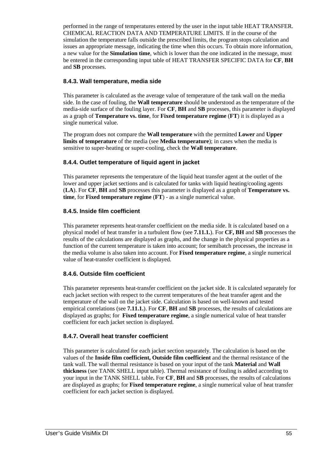performed in the range of temperatures entered by the user in the input table HEAT TRANSFER. CHEMICAL REACTION DATA AND TEMPERATURE LIMITS. If in the course of the simulation the temperature falls outside the prescribed limits, the program stops calculation and issues an appropriate message, indicating the time when this occurs. To obtain more information, a new value for the **Simulation time**, which is lower than the one indicated in the message, must be entered in the corresponding input table of HEAT TRANSFER SPECIFIC DATA for **CF**, **BH** and **SB** processes.

# **8.4.3. Wall temperature, media side**

This parameter is calculated as the average value of temperature of the tank wall on the media side. In the case of fouling, the **Wall temperature** should be understood as the temperature of the media-side surface of the fouling layer. For **CF**, **BH** and **SB** processes, this parameter is displayed as a graph of **Temperature vs. time**, for **Fixed temperature regime** (**FT**) it is displayed as a single numerical value.

The program does not compare the **Wall temperature** with the permitted **Lower** and **Upper limits of temperature** of the media (see **Media temperature**); in cases when the media is sensitive to super-heating or super-cooling, check the **Wall temperature**.

# **8.4.4. Outlet temperature of liquid agent in jacket**

This parameter represents the temperature of the liquid heat transfer agent at the outlet of the lower and upper jacket sections and is calculated for tanks with liquid heating/cooling agents (**LA**). For **CF**, **BH** and **SB** processes this parameter is displayed as a graph of **Temperature vs. time**, for **Fixed temperature regime** (**FT**) - as a single numerical value.

# **8.4.5. Inside film coefficient**

This parameter represents heat-transfer coefficient on the media side. It is calculated based on a physical model of heat transfer in a turbulent flow (see **7.11.1.**). For **CF, BH** and **SB** processes the results of the calculations are displayed as graphs, and the change in the physical properties as a function of the current temperature is taken into account; for semibatch processes, the increase in the media volume is also taken into account. For **Fixed temperature regime**, a single numerical value of heat-transfer coefficient is displayed.

# **8.4.6. Outside film coefficient**

This parameter represents heat-transfer coefficient on the jacket side. It is calculated separately for each jacket section with respect to the current temperatures of the heat transfer agent and the temperature of the wall on the jacket side. Calculation is based on well-known and tested empirical correlations (see **7.11.1.**). For **CF**, **BH** and **SB** processes, the results of calculations are displayed as graphs; for **Fixed temperature regime**, a single numerical value of heat transfer coefficient for each jacket section is displayed.

# **8.4.7. Overall heat transfer coefficient**

This parameter is calculated for each jacket section separately. The calculation is based on the values of the **Inside film coefficient, Outside film coefficient** and the thermal resistance of the tank wall. The wall thermal resistance is based on your input of the tank **Material** and **Wall thickness** (see TANK SHELL input table). Thermal resistance of fouling is added according to your input in the TANK SHELL table**.** For **CF**, **BH** and **SB** processes, the results of calculations are displayed as graphs; for **Fixed temperature regime**, a single numerical value of heat transfer coefficient for each jacket section is displayed.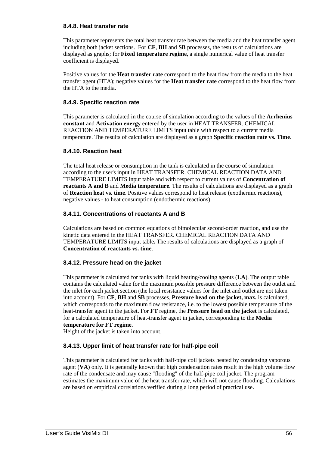# **8.4.8. Heat transfer rate**

This parameter represents the total heat transfer rate between the media and the heat transfer agent including both jacket sections. For **CF**, **BH** and **SB** processes, the results of calculations are displayed as graphs; for **Fixed temperature regime**, a single numerical value of heat transfer coefficient is displayed.

Positive values for the **Heat transfer rate** correspond to the heat flow from the media to the heat transfer agent (HTA); negative values for the **Heat transfer rate** correspond to the heat flow from the HTA to the media.

# **8.4.9. Specific reaction rate**

This parameter is calculated in the course of simulation according to the values of the **Arrhenius constant** and **Activation energy** entered by the user in HEAT TRANSFER. CHEMICAL REACTION AND TEMPERATURE LIMITS input table with respect to a current media temperature. The results of calculation are displayed as a graph **Specific reaction rate vs. Time**.

# **8.4.10. Reaction heat**

The total heat release or consumption in the tank is calculated in the course of simulation according to the user's input in HEAT TRANSFER. CHEMICAL REACTION DATA AND TEMPERATURE LIMITS input table and with respect to current values of **Concentration of reactants A and B** and **Media temperature.** The results of calculations are displayed as a graph of **Reaction heat vs. time**. Positive values correspond to heat release (exothermic reactions), negative values - to heat consumption (endothermic reactions).

# **8.4.11. Concentrations of reactants A and B**

Calculations are based on common equations of bimolecular second-order reaction, and use the kinetic data entered in the HEAT TRANSFER. CHEMICAL REACTION DATA AND TEMPERATURE LIMITS input table**.** The results of calculations are displayed as a graph of **Concentration of reactants vs. time**.

# **8.4.12. Pressure head on the jacket**

This parameter is calculated for tanks with liquid heating/cooling agents (**LA**). The output table contains the calculated value for the maximum possible pressure difference between the outlet and the inlet for each jacket section (the local resistance values for the inlet and outlet are not taken into account). For **CF**, **BH** and **SB** processes, **Pressure head on the jacket, max.** is calculated, which corresponds to the maximum flow resistance, i.e. to the lowest possible temperature of the heat-transfer agent in the jacket. For **FT** regime, the **Pressure head on the jacket** is calculated, for a calculated temperature of heat-transfer agent in jacket, corresponding to the **Media temperature for FT regime**.

Height of the jacket is taken into account.

# **8.4.13. Upper limit of heat transfer rate for half-pipe coil**

This parameter is calculated for tanks with half-pipe coil jackets heated by condensing vaporous agent (**VA**) only. It is generally known that high condensation rates result in the high volume flow rate of the condensate and may cause "flooding" of the half-pipe coil jacket. The program estimates the maximum value of the heat transfer rate, which will not cause flooding. Calculations are based on empirical correlations verified during a long period of practical use.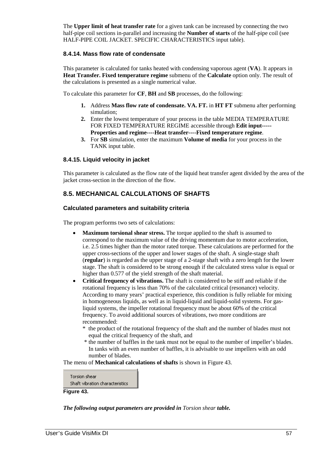The **Upper limit of heat transfer rate** for a given tank can be increased by connecting the two half-pipe coil sections in-parallel and increasing the **Number of starts** of the half-pipe coil (see HALF-PIPE COIL JACKET. SPECIFIC CHARACTERISTICS input table).

# **8.4.14. Mass flow rate of condensate**

This parameter is calculated for tanks heated with condensing vaporous agent (**VA**). It appears in **Heat Transfer. Fixed temperature regime** submenu of the **Calculate** option only. The result of the calculations is presented as a single numerical value.

To calculate this parameter for **CF**, **BH** and **SB** processes, do the following:

- **1.** Address **Mass flow rate of condensate. VA. FT.** in **HT FT** submenu after performing simulation;
- **2.** Enter the lowest temperature of your process in the table MEDIA TEMPERATURE FOR FIXED TEMPERATURE REGIME accessible through **Edit input----- Properties and regime----Heat transfer----Fixed temperature regime**.
- **3.** For **SB** simulation, enter the maximum **Volume of media** for your process in the TANK input table.

## **8.4.15. Liquid velocity in jacket**

This parameter is calculated as the flow rate of the liquid heat transfer agent divided by the area of the jacket cross-section in the direction of the flow.

# **8.5. MECHANICAL CALCULATIONS OF SHAFTS**

#### **Calculated parameters and suitability criteria**

The program performs two sets of calculations:

- **Maximum torsional shear stress.** The torque applied to the shaft is assumed to correspond to the maximum value of the driving momentum due to motor acceleration, i.e. 2.5 times higher than the motor rated torque. These calculations are performed for the upper cross-sections of the upper and lower stages of the shaft. A single-stage shaft (**regular**) is regarded as the upper stage of a 2-stage shaft with a zero length for the lower stage. The shaft is considered to be strong enough if the calculated stress value is equal or higher than 0.577 of the yield strength of the shaft material.
- **Critical frequency of vibrations.** The shaft is considered to be stiff and reliable if the rotational frequency is less than 70% of the calculated critical (resonance) velocity. According to many years' practical experience, this condition is fully reliable for mixing in homogeneous liquids, as well as in liquid-liquid and liquid-solid systems. For gasliquid systems, the impeller rotational frequency must be about 60% of the critical frequency. To avoid additional sources of vibrations, two more conditions are recommended:
	- \* the product of the rotational frequency of the shaft and the number of blades must not equal the critical frequency of the shaft, and
	- \* the number of baffles in the tank must not be equal to the number of impeller's blades. In tanks with an even number of baffles, it is advisable to use impellers with an odd number of blades.

The menu of **Mechanical calculations of shafts** is shown in Figure 43.



**Figure 43.** 

*The following output parameters are provided in Torsion shear table.*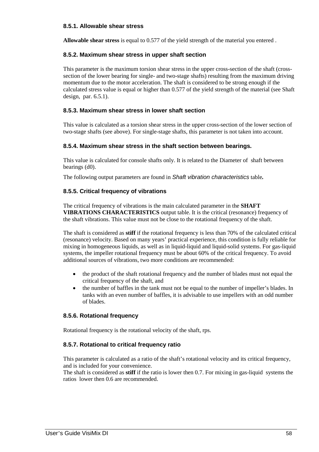# **8.5.1. Allowable shear stress**

**Allowable shear stress** is equal to 0.577 of the yield strength of the material you entered .

## **8.5.2. Maximum shear stress in upper shaft section**

This parameter is the maximum torsion shear stress in the upper cross-section of the shaft (crosssection of the lower bearing for single- and two-stage shafts) resulting from the maximum driving momentum due to the motor acceleration. The shaft is considered to be strong enough if the calculated stress value is equal or higher than 0.577 of the yield strength of the material (see Shaft design, par. 6.5.1).

# **8.5.3. Maximum shear stress in lower shaft section**

This value is calculated as a torsion shear stress in the upper cross-section of the lower section of two-stage shafts (see above). For single-stage shafts, this parameter is not taken into account.

#### **8.5.4. Maximum shear stress in the shaft section between bearings.**

This value is calculated for console shafts only. It is related to the Diameter of shaft between bearings (d0).

The following output parameters are found in Shaft vibration characteristics table*.* 

#### **8.5.5. Critical frequency of vibrations**

The critical frequency of vibrations is the main calculated parameter in the **SHAFT VIBRATIONS CHARACTERISTICS** output table. It is the critical (resonance) frequency of the shaft vibrations. This value must not be close to the rotational frequency of the shaft.

The shaft is considered as **stiff** if the rotational frequency is less than 70% of the calculated critical (resonance) velocity. Based on many years' practical experience, this condition is fully reliable for mixing in homogeneous liquids, as well as in liquid-liquid and liquid-solid systems. For gas-liquid systems, the impeller rotational frequency must be about 60% of the critical frequency. To avoid additional sources of vibrations, two more conditions are recommended:

- the product of the shaft rotational frequency and the number of blades must not equal the critical frequency of the shaft, and
- the number of baffles in the tank must not be equal to the number of impeller's blades. In tanks with an even number of baffles, it is advisable to use impellers with an odd number of blades.

#### **8.5.6. Rotational frequency**

Rotational frequency is the rotational velocity of the shaft, rps.

## **8.5.7. Rotational to critical frequency ratio**

This parameter is calculated as a ratio of the shaft's rotational velocity and its critical frequency, and is included for your convenience.

The shaft is considered as **stiff** if the ratio is lower then 0.7. For mixing in gas-liquid systems the ratios lower then 0.6 are recommended.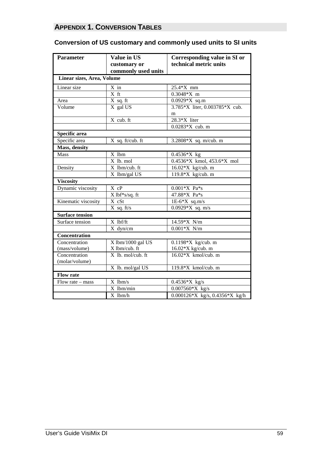# **APPENDIX 1. CONVERSION TABLES**

# **Conversion of US customary and commonly used units to SI units**

| <b>Parameter</b>           | <b>Value in US</b>          | Corresponding value in SI or   |  |  |  |  |  |
|----------------------------|-----------------------------|--------------------------------|--|--|--|--|--|
|                            | customary or                | technical metric units         |  |  |  |  |  |
|                            | commonly used units         |                                |  |  |  |  |  |
| Linear sizes, Area, Volume |                             |                                |  |  |  |  |  |
| Linear size                | X in                        | 25.4*X mm                      |  |  |  |  |  |
|                            | X ft                        | $0.3048*X$ m                   |  |  |  |  |  |
| Area                       | X sq. ft                    | $0.0929*X$ sq.m                |  |  |  |  |  |
| Volume                     | X gal US                    | 3.785*X liter, 0.003785*X cub. |  |  |  |  |  |
|                            | $X$ cub. ft                 | m<br>28.3*X liter              |  |  |  |  |  |
|                            |                             | 0.0283*X cub. m                |  |  |  |  |  |
|                            |                             |                                |  |  |  |  |  |
| Specific area              |                             |                                |  |  |  |  |  |
| Specific area              | X sq. ft/cub. ft            | 3.2808*X sq. m/cub. m          |  |  |  |  |  |
| Mass, density              |                             |                                |  |  |  |  |  |
| Mass                       | X lbm                       | 0.4536*X kg                    |  |  |  |  |  |
|                            | $X$ lb. mol                 | 0.4536*X kmol, 453.6*X mol     |  |  |  |  |  |
| Density                    | X lbm/cub. ft               | $16.02*X$ kg/cub. m            |  |  |  |  |  |
|                            | X lbm/gal US                | 119.8*X kg/cub. m              |  |  |  |  |  |
| <b>Viscosity</b>           |                             |                                |  |  |  |  |  |
| Dynamic viscosity          | $X$ cP                      | $0.001*X$ Pa*s                 |  |  |  |  |  |
|                            | $\overline{X}$ lbf*s/sq. ft | 47.88*X Pa*s                   |  |  |  |  |  |
| Kinematic viscosity        | X cSt                       | $1E-6*X$ sq.m/s                |  |  |  |  |  |
|                            | $X$ sq. ft/s                | $0.0929*X$ sq. m/s             |  |  |  |  |  |
| <b>Surface tension</b>     |                             |                                |  |  |  |  |  |
| Surface tension            | X lbf/ft                    | 14.59*X N/m                    |  |  |  |  |  |
|                            | X dyn/cm                    | $0.001*X$ N/m                  |  |  |  |  |  |
| Concentration              |                             |                                |  |  |  |  |  |
| Concentration              | X lbm/1000 gal US           | $0.1198*X$ kg/cub. m           |  |  |  |  |  |
| (mass/volume)              | X lbm/cub. ft               | 16.02*X kg/cub. m              |  |  |  |  |  |
| Concentration              | X lb. mol/cub. ft           | $16.02*X$ kmol/cub. m          |  |  |  |  |  |
| (molar/volume)             |                             |                                |  |  |  |  |  |
|                            | X lb. mol/gal US            | 119.8*X kmol/cub. m            |  |  |  |  |  |
| <b>Flow rate</b>           |                             |                                |  |  |  |  |  |
| Flow rate - mass           | X lbm/s                     | $0.4536*X$ kg/s                |  |  |  |  |  |
|                            | $X$ lbm/min                 | $0.007560*X$ kg/s              |  |  |  |  |  |
|                            | X lbm/h                     | 0.000126*X kg/s, 0.4356*X kg/h |  |  |  |  |  |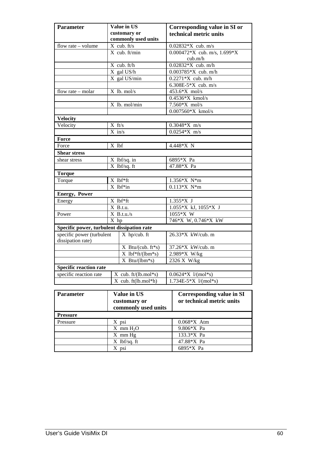| <b>Parameter</b>                           | Value in US                                     |                     | Corresponding value in SI or |                                  |  |  |
|--------------------------------------------|-------------------------------------------------|---------------------|------------------------------|----------------------------------|--|--|
|                                            |                                                 | customary or        |                              | technical metric units           |  |  |
|                                            |                                                 | commonly used units |                              |                                  |  |  |
| flow rate - volume                         |                                                 | $X$ cub. ft/s       | $0.02832*X$ cub. m/s         |                                  |  |  |
|                                            |                                                 | $X$ cub. ft/min     |                              | 0.000472*X cub. m/s, $1.699*X$   |  |  |
|                                            |                                                 |                     |                              | cub.m/h                          |  |  |
|                                            |                                                 | X cub. ft/h         |                              | $0.02832*X$ cub. m/h             |  |  |
|                                            |                                                 | X gal US/h          |                              | $0.003785*X$ cub. m/h            |  |  |
|                                            |                                                 | X gal US/min        |                              | $0.2271*X$ cub. m/h              |  |  |
|                                            |                                                 |                     |                              | 6.308E-5 $*X$ cub. m/s           |  |  |
| flow rate - molar                          |                                                 | X lb. mol/s         |                              | 453.6*X mol/s                    |  |  |
|                                            |                                                 |                     |                              | $0.4536*X$ kmol/s                |  |  |
|                                            |                                                 | X lb. mol/min       |                              | $7.560*X$ mol/s                  |  |  |
|                                            |                                                 |                     |                              | $0.007560*X$ kmol/s              |  |  |
| <b>Velocity</b>                            |                                                 |                     |                              |                                  |  |  |
| Velocity                                   | $X$ ft/s                                        |                     |                              | $0.3048*X$ m/s                   |  |  |
|                                            |                                                 | $X$ in/s            |                              | $0.0254*X$ m/s                   |  |  |
| Force                                      |                                                 |                     |                              |                                  |  |  |
| Force                                      | X lbf                                           |                     |                              | 4.448*X N                        |  |  |
| <b>Shear stress</b>                        |                                                 |                     |                              |                                  |  |  |
| shear stress                               |                                                 | X lbf/sq. in        | 6895*X Pa                    |                                  |  |  |
| $X$ lbf/sq. ft                             |                                                 | 47.88*X Pa          |                              |                                  |  |  |
| <b>Torque</b>                              |                                                 |                     |                              |                                  |  |  |
| X lbf*ft<br>Torque                         |                                                 |                     | 1.356*X N*m                  |                                  |  |  |
|                                            |                                                 | $X$ lbf*in          |                              | $0.113*X$ N*m                    |  |  |
| <b>Energy, Power</b>                       |                                                 |                     |                              |                                  |  |  |
| Energy                                     |                                                 | X lbf*ft            |                              | $1.355*X$ J                      |  |  |
|                                            |                                                 | $X$ B.t.u.          |                              | 1.055*X kJ, 1055*X J             |  |  |
| Power                                      | $X$ B.t.u./s                                    |                     | 1055*X W                     |                                  |  |  |
|                                            | $\overline{X}$ hp                               |                     |                              | 746*X W, 0.746*X kW              |  |  |
| Specific power, turbulent dissipation rate |                                                 |                     |                              |                                  |  |  |
| specific power (turbulent                  |                                                 | X hp/cub. ft        |                              | 26.33*X kW/cub. m                |  |  |
| dissipation rate)                          |                                                 |                     |                              |                                  |  |  |
|                                            |                                                 | $X$ Btu/(cub. ft*s) |                              | 37.26*X kW/cub. m                |  |  |
|                                            |                                                 | $X$ lbf*ft/(lbm*s)  |                              | 2.989*X W/kg                     |  |  |
|                                            |                                                 | $X$ Btu/(lbm*s)     |                              | 2326 X W/kg                      |  |  |
| <b>Specific reaction rate</b>              |                                                 |                     |                              |                                  |  |  |
| specific reaction rate                     |                                                 |                     |                              | $0.0624*X$ $1/(mol*s)$           |  |  |
|                                            | $X$ cub. ft/(lb.mol*s)<br>$X$ cub. ft(lb.mol*h) |                     | $1.734E-5*X$ $1/(mol*s)$     |                                  |  |  |
|                                            |                                                 |                     |                              |                                  |  |  |
| <b>Parameter</b>                           |                                                 | <b>Value in US</b>  |                              | <b>Corresponding value in SI</b> |  |  |
|                                            | customary or                                    |                     |                              | or technical metric units        |  |  |
|                                            |                                                 | commonly used units |                              |                                  |  |  |
|                                            |                                                 |                     |                              |                                  |  |  |
| <b>Pressure</b>                            |                                                 |                     |                              |                                  |  |  |
| Pressure                                   |                                                 | X psi               |                              | $0.068*X$ Atm                    |  |  |
|                                            |                                                 | $X$ mm $H_2O$       |                              | 9.806*X Pa                       |  |  |
|                                            |                                                 | X mm Hg             |                              | 133.3*X Pa                       |  |  |
|                                            |                                                 | X lbf/sq. ft        |                              | 47.88*X Pa                       |  |  |

 $X$  psi 6895\*X Pa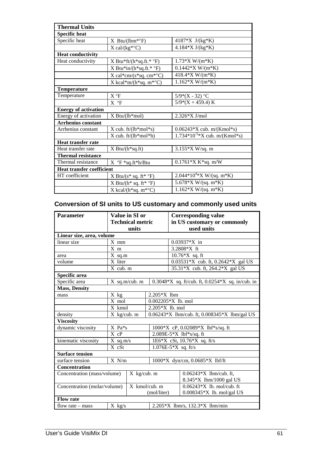| <b>Thermal Units</b>             |                                                                 |                                   |
|----------------------------------|-----------------------------------------------------------------|-----------------------------------|
| <b>Specific heat</b>             |                                                                 |                                   |
| Specific heat                    | $X$ Btu/(lbm*°F)                                                | 4187*X $J/(kg*K)$                 |
|                                  | $X \text{ cal/(kg*°C)}$                                         | $4.184*X J/(kg*K)$                |
| <b>Heat conductivity</b>         |                                                                 |                                   |
| Heat conductivity                | $X$ Btu*ft/(h*sq.ft.* $\degree$ F)                              | $1.73*X W/(m*K)$                  |
|                                  | X Btu*in/( $h$ *sq.ft.* °F)                                     | $0.1442*X W/(m*K)$                |
|                                  | $X \text{ cal*cm/(s*sq. cm*°C)}$                                | 418.4*X W/(m*K)                   |
|                                  | X kcal*m/( $h$ *sq. m*°C)                                       | $1.162*X W/(m*K)$                 |
| <b>Temperature</b>               |                                                                 |                                   |
| Temperature                      | $X^{\circ}F$                                                    | $5/9*(X - 32)$ °C                 |
|                                  | $X^{\circ}F$                                                    | $5/9*(X + 459.4) K$               |
| <b>Energy of activation</b>      |                                                                 |                                   |
| Energy of activation             | X Btu/(lb*mol)                                                  | 2.326*X J/mol                     |
| <b>Arrhenius constant</b>        |                                                                 |                                   |
| Arrhenius constant               | $X$ cub. ft/( $lb*mol*s$ )                                      | $0.06243*X$ cub. m/(Kmol*s)       |
|                                  | $X$ cub. ft/(lb*mol*h)                                          | $1.734*10^{-5}*X$ cub. m/(Kmol*s) |
| <b>Heat transfer rate</b>        |                                                                 |                                   |
| Heat transfer rate               | $X$ Btu/(h <sup>*</sup> sq.ft)                                  | $3.155*X$ W/sq. m                 |
| <b>Thermal resistance</b>        |                                                                 |                                   |
| Thermal resistance               | $X \ ^{\circ}F \ ^*sq.ft^*h/Btu$                                | $0.1761*X K*sq.$ m/W              |
| <b>Heat transfer coefficient</b> |                                                                 |                                   |
| HT coefficient                   | X Btu/( $s$ <sup>*</sup> sq. ft <sup>*</sup> $\rm{^{\circ}F}$ ) | $2.044*104*X W/(sq. m*K)$         |
|                                  | X Btu/( $h^*$ sq. ft* $\rm{P}$ °F)                              | 5.678*X W/(sq. m*K)               |
|                                  | $X$ kcal/(h*sq. m*°C)                                           | $1.162*X W/(sq. m*K)$             |

# **Conversion of SI units to US customary and commonly used units**

| <b>Parameter</b>                              | Value in SI or            |                 | <b>Corresponding value</b>                   |                                                      |  |
|-----------------------------------------------|---------------------------|-----------------|----------------------------------------------|------------------------------------------------------|--|
|                                               | <b>Technical metric</b>   |                 | in US customary or commonly                  |                                                      |  |
|                                               | units                     |                 | used units                                   |                                                      |  |
| Linear size, area, volume                     |                           |                 |                                              |                                                      |  |
| linear size                                   | $X$ mm                    |                 |                                              | $0.03937*X$ in                                       |  |
|                                               | $X$ m                     |                 |                                              | 3.2808*X ft                                          |  |
| area                                          | $X$ sq.m                  |                 |                                              | $10.76*X$ sq. ft                                     |  |
| volume                                        | X liter                   |                 |                                              | 0.03531*X cub. ft, 0.2642*X gal US                   |  |
|                                               | X cub. m                  |                 |                                              | $35.31*X$ cub. ft, 264.2 $*X$ gal US                 |  |
| Specific area                                 |                           |                 |                                              |                                                      |  |
| Specific area                                 |                           | $X$ sq.m/cub. m |                                              | $0.3048*X$ sq. ft/cub. ft, $0.0254*X$ sq. in/cub. in |  |
| <b>Mass, Density</b>                          |                           |                 |                                              |                                                      |  |
| mass                                          | X kg                      |                 | $2.205*X$ 1bm                                |                                                      |  |
|                                               | X mol                     |                 | 0.002205*X lb. mol                           |                                                      |  |
|                                               | X kmol<br>2.205*X lb. mol |                 |                                              |                                                      |  |
| density                                       | $X$ kg/cub. m             |                 | 0.06243*X lbm/cub. ft, 0.008345*X lbm/gal US |                                                      |  |
| <b>Viscosity</b>                              |                           |                 |                                              |                                                      |  |
| dynamic viscosity                             | X Pa*s                    |                 |                                              | 1000*X cP, 0.02089*X lbf*s/sq. ft                    |  |
|                                               | X cP                      |                 |                                              | 2.089E-5*X lbf*s/sq. ft                              |  |
| kinematic viscosity                           | $X$ sq.m/s                |                 | 1E6*X cSt, 10.76*X sq. ft/s                  |                                                      |  |
|                                               | X cSt                     |                 |                                              | $1.076E-5*X$ sq. ft/s                                |  |
| <b>Surface tension</b>                        |                           |                 |                                              |                                                      |  |
| surface tension                               | $X \ N/m$                 |                 | 1000*X dyn/cm, 0.0685*X lbf/ft               |                                                      |  |
| <b>Concentration</b>                          |                           |                 |                                              |                                                      |  |
| Concentration (mass/volume)<br>$X$ kg/cub. m  |                           |                 | $0.06243*X$ lbm/cub. ft,                     |                                                      |  |
|                                               |                           |                 | 8.345*X lbm/1000 gal US                      |                                                      |  |
| Concentration (molar/volume)<br>X kmol/cub. m |                           |                 | $0.06243*X$ lb. mol/cub. ft                  |                                                      |  |
|                                               |                           |                 | (mol/liter)                                  | 0.008345*X lb. mol/gal US                            |  |
| <b>Flow rate</b>                              |                           |                 |                                              |                                                      |  |
| flow rate $-$ mass                            | $X$ kg/s                  |                 | 2.205*X lbm/s, 132.3*X lbm/min               |                                                      |  |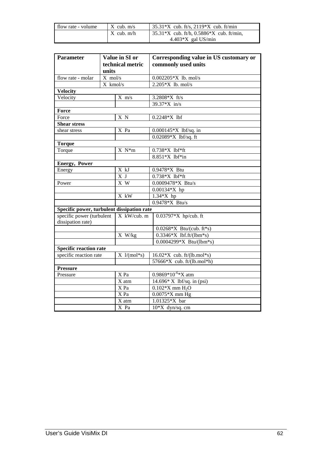| flow rate - volume | $X$ cub. $m/s$ | $35.31*X$ cub. ft/s, 2119*X cub. ft/min                         |
|--------------------|----------------|-----------------------------------------------------------------|
|                    | $X$ cub. m/h   | $\frac{135.31 \times X}{1000}$ cub. ft/h, 0.5886 X cub. ft/min, |
|                    |                | $4.403*X$ gal US/min                                            |

| <b>Parameter</b>                               | units     | Value in SI or<br>technical metric | Corresponding value in US customary or<br>commonly used units |  |
|------------------------------------------------|-----------|------------------------------------|---------------------------------------------------------------|--|
| flow rate - molar                              | $X$ mol/s |                                    | $0.002205*X$ lb. mol/s                                        |  |
|                                                | X kmol/s  |                                    | $2.205*X$ lb. mol/s                                           |  |
| <b>Velocity</b>                                |           |                                    |                                                               |  |
| Velocity                                       |           | $X \, m/s$                         | 3.2808*X ft/s                                                 |  |
|                                                |           |                                    | 39.37*X in/s                                                  |  |
| Force                                          |           |                                    |                                                               |  |
| Force                                          |           | X N                                | $0.2248*X$ lbf                                                |  |
| <b>Shear stress</b>                            |           |                                    |                                                               |  |
| shear stress                                   |           | X Pa                               | 0.000145*X lbf/sq. in                                         |  |
|                                                |           |                                    | 0.02089*X lbf/sq. ft                                          |  |
| <b>Torque</b>                                  |           |                                    |                                                               |  |
| Torque                                         |           | $X N^*m$                           | $0.738*X$ lbf*ft                                              |  |
|                                                |           |                                    | 8.851*X lbf*in                                                |  |
| <b>Energy</b> , Power                          |           |                                    |                                                               |  |
| Energy                                         |           | X kJ                               | 0.9478*X Btu                                                  |  |
|                                                |           | X J                                | $0.738*X$ lbf*ft                                              |  |
| Power                                          |           | $\overline{X}$ W                   | 0.0009478*X Btu/s                                             |  |
|                                                |           |                                    | $0.00134*X$ hp                                                |  |
|                                                |           | X kW                               | $1.34*X$ hp                                                   |  |
|                                                |           |                                    | $0.9478*X$ Btu/s                                              |  |
| Specific power, turbulent dissipation rate     |           |                                    |                                                               |  |
| specific power (turbulent<br>dissipation rate) |           | X kW/cub. m                        | 0.03797*X hp/cub. ft                                          |  |
|                                                |           |                                    | $0.0268*X$ Btu/(cub. ft*s)                                    |  |
|                                                |           | X W/kg                             | $0.3346*X$ lbf.ft/(lbm*s)                                     |  |
|                                                |           |                                    | $0.0004299*X$ Btu/(lbm*s)                                     |  |
| <b>Specific reaction rate</b>                  |           |                                    |                                                               |  |
| specific reaction rate                         |           | $X \frac{1}{(\text{mol}^*s)}$      | $16.02*X$ cub. ft/(lb.mol*s)                                  |  |
|                                                |           |                                    | 57666*X cub. ft/(lb.mol*h)                                    |  |
| <b>Pressure</b>                                |           |                                    |                                                               |  |
| Pressure                                       |           | X Pa                               | $0.9869*10^{-6}*X$ atm                                        |  |
|                                                |           | $\overline{X}$ atm                 | $14.696* X$ lbf/sq. in (psi)                                  |  |
|                                                |           | X Pa                               | $0.102*X$ mm $H_2O$                                           |  |
|                                                |           | X Pa                               | $0.0075*X$ mm Hg                                              |  |
|                                                |           | X atm                              | 1.01325*X bar                                                 |  |
|                                                |           | X Pa                               | $10*X$ dyn/sq. cm                                             |  |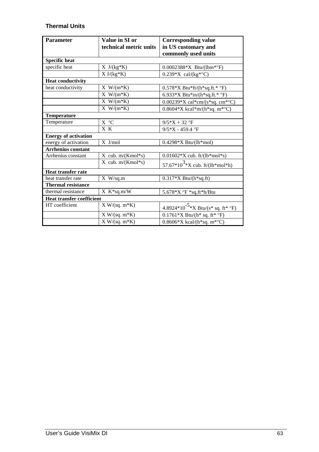# **Thermal Units**

| <b>Parameter</b>                 | Value in SI or            | <b>Corresponding value</b>                     |
|----------------------------------|---------------------------|------------------------------------------------|
|                                  | technical metric units    | in US customary and                            |
|                                  |                           | commonly used units                            |
| <b>Specific heat</b>             |                           |                                                |
| specific heat                    | $X \text{ J/(kg*K)}$      | $0.0002388*X$ Btu/(lbm*°F)                     |
|                                  | $X J/(kg*K)$              | $0.239*X$ cal/(kg*°C)                          |
| <b>Heat conductivity</b>         |                           |                                                |
| heat conductivity                | $X$ W/(m*K)               | $0.578*X$ Btu*ft/(h*sq.ft.* °F)                |
|                                  | $X$ W/(m*K)               | 6.933*X Btu*in/(h*sq.ft.* °F)                  |
|                                  | $X$ W/(m*K)               | 0.00239*X cal*cm/(s*sq. cm*°C)                 |
|                                  | $X$ W/(m*K)               | 0.8604 * X kcal * m/(h * sq. m * ° C)          |
| <b>Temperature</b>               |                           |                                                |
| Temperature                      | X °C                      | $9/5*X + 32 °F$                                |
|                                  | X K                       | 9/5*X - 459.4 °F                               |
| <b>Energy of activation</b>      |                           |                                                |
| energy of activation             | X J/mol                   | $0.4298*X \t{Btu/(lb*mol)}$                    |
| <b>Arrhenius constant</b>        |                           |                                                |
| Arrhenius constant               | $X$ cub. $m/(Kmol*_{S})$  | $0.01602*X$ cub. ft/(lb*mol*s)                 |
|                                  | $X$ cub. $m/(Kmol)$ *s)   | 57.67*10 <sup>3</sup> *X cub. ft/(lb*mol*h)    |
| <b>Heat transfer rate</b>        |                           |                                                |
| heat transfer rate               | $X$ W/sq.m                | $0.317*X$ Btu/(h*sq.ft)                        |
| <b>Thermal resistance</b>        |                           |                                                |
| thermal resistance               | $X$ K <sup>*</sup> sq.m/W | 5.678* $X^{\circ}F$ *sq.ft*h/Btu               |
| <b>Heat transfer coefficient</b> |                           |                                                |
| HT coefficient                   | $X W/(sq. m*K)$           | 4.8924*10 <sup>-5</sup> *X Btu/(s* sq. ft* °F) |
|                                  | $X W/(sq. m*K)$           | $0.1761*X$ Btu/(h* sq. ft* °F)                 |
|                                  | $X W/(sq. m*K)$           | $0.8606*X$ kcal/(h*sq. m*°C)                   |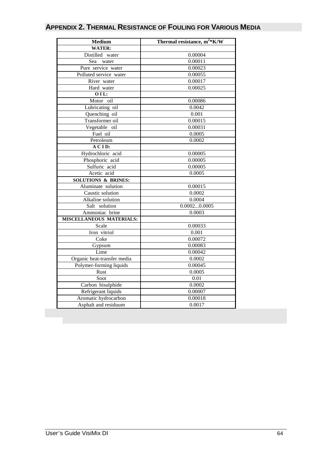| <b>Medium</b>                  | Thermal resistance, $m^2*K/W$ |  |  |
|--------------------------------|-------------------------------|--|--|
| <b>WATER:</b>                  |                               |  |  |
| Distilled water                | 0.00004                       |  |  |
| Sea<br>water                   | 0.00011                       |  |  |
| Pure service water             | 0.00023                       |  |  |
| Polluted service water         | 0.00055                       |  |  |
| River water                    | 0.00017                       |  |  |
| Hard water                     | 0.00025                       |  |  |
| 01L:                           |                               |  |  |
| Motor oil                      | 0.00086                       |  |  |
| Lubricating oil                | 0.0042                        |  |  |
| Quenching oil                  | 0.001                         |  |  |
| Transformer oil                | 0.00015                       |  |  |
| Vegetable oil                  | 0.00031                       |  |  |
| Fuel oil                       | 0.0005                        |  |  |
| Petroleum                      | 0.0002                        |  |  |
| A CID:                         |                               |  |  |
| Hydrochloric acid              | 0.00005                       |  |  |
| Phosphoric acid                | 0.00005                       |  |  |
| Sulfuric acid                  | 0.00005                       |  |  |
| Acetic acid                    | 0.0005                        |  |  |
| <b>SOLUTIONS &amp; BRINES:</b> |                               |  |  |
| Aluminate solution             | 0.00015                       |  |  |
| Caustic solution               | 0.0002                        |  |  |
| Alkaline solution              | 0.0004                        |  |  |
| Salt solution                  | 0.00020.0005                  |  |  |
| Ammoniac brine                 | 0.0003                        |  |  |
| MISCELLANEOUS MATERIALS:       |                               |  |  |
| Scale                          | 0.00033                       |  |  |
| Iron vitriol                   | 0.001                         |  |  |
| Coke                           | 0.00072                       |  |  |
| Gypsum                         | 0.00083                       |  |  |
| Lime                           | 0.00042                       |  |  |
| Organic heat-transfer media    | 0.0002                        |  |  |
| Polymer-forming liquids        | 0.00045                       |  |  |
| Rust                           | 0.0005                        |  |  |
| Soot                           | 0.01                          |  |  |
| Carbon bisulphide              | 0.0002                        |  |  |
| Refrigerant liquids            | 0.00007                       |  |  |
| Aromatic hydrocarbon           | 0.00018                       |  |  |
| Asphalt and residuum           | 0.0017                        |  |  |

# **APPENDIX 2. THERMAL RESISTANCE OF FOULING FOR VARIOUS MEDIA**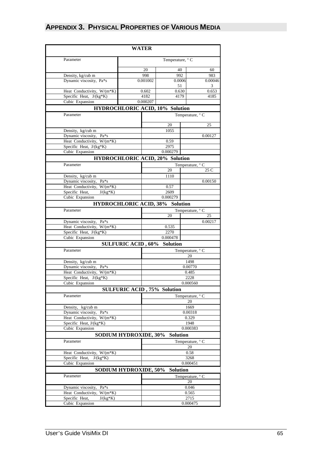# **APPENDIX 3. PHYSICAL PROPERTIES OF VARIOUS MEDIA**

| <b>WATER</b>                                          |                                        |                  |                  |  |
|-------------------------------------------------------|----------------------------------------|------------------|------------------|--|
| Parameter                                             | Temperature, ° C                       |                  |                  |  |
|                                                       |                                        |                  |                  |  |
|                                                       | 20<br>998                              | 40<br>992        | 60               |  |
| Density, kg/cub m<br>Dynamic viscosity, Pa*s          | 0.001002                               | 0.0006           | 983<br>0.00046   |  |
|                                                       |                                        | 51               | 3                |  |
| Heat Conductivity, W/(m*K)                            | 0.602                                  | 0.630            | 0.653            |  |
| Specific Heat, $J/(kg*K)$                             | 4182                                   | 4179             | 4185             |  |
| Cubic Expansion                                       | 0.000207                               |                  |                  |  |
|                                                       | <b>HYDROCHLORIC ACID, 10% Solution</b> |                  |                  |  |
| Parameter                                             |                                        |                  | Temperature, ° C |  |
|                                                       |                                        |                  |                  |  |
|                                                       |                                        | 20               | 25               |  |
| Density, kg/cub m<br>Dynamic viscosity, Pa*s          |                                        | 1055<br>0.00127  |                  |  |
| Heat Conductivity, W/(m*K)                            |                                        | 0.59             |                  |  |
| Specific Heat, J/(kg*K)                               |                                        | 2975             |                  |  |
| Cubic Expansion                                       |                                        | 0.000279         |                  |  |
|                                                       | <b>HYDROCHLORIC ACID, 20% Solution</b> |                  |                  |  |
| Parameter                                             |                                        |                  | Temperature, ° C |  |
|                                                       |                                        | 20               | 25 C             |  |
| Density, kg/cub m                                     |                                        | 1110             |                  |  |
| Dynamic viscosity,<br>Pa*s                            |                                        |                  | 0.00150          |  |
| Heat Conductivity, W/(m*K)                            |                                        | 0.57             |                  |  |
| $J/(kg*K)$<br>Specific Heat,                          |                                        | 2609             |                  |  |
| Cubic Expansion                                       |                                        | 0.000279         |                  |  |
|                                                       | <b>HYDROCHLORIC ACID, 38%</b>          | <b>Solution</b>  |                  |  |
| Parameter                                             |                                        |                  | Temperature, ° C |  |
|                                                       |                                        | 20               | 25               |  |
| Dynamic viscosity, Pa*s<br>Heat Conductivity, W/(m*K) |                                        | 0.535            | 0.00217          |  |
| Specific Heat, J/(kg*K)                               |                                        | 2270             |                  |  |
| Cubic Expansion                                       |                                        | 0.000478         |                  |  |
|                                                       | <b>SULFURIC ACID, 60%</b>              | <b>Solution</b>  |                  |  |
| Parameter                                             |                                        |                  | Temperature, ° C |  |
|                                                       |                                        | 20               |                  |  |
| Density, kg/cub m                                     |                                        | 1498             |                  |  |
| Dynamic viscosity,<br>Pa*s                            |                                        |                  | 0.00770          |  |
| Heat Conductivity, W/(m*K)                            |                                        | 0.485            |                  |  |
| Specific Heat, J/(kg*K)                               |                                        | 2228             |                  |  |
| Cubic Expansion                                       |                                        | 0.000560         |                  |  |
|                                                       | <b>SULFURIC ACID, 75% Solution</b>     |                  |                  |  |
| Parameter                                             |                                        |                  | Temperature, ° C |  |
|                                                       |                                        |                  | 20               |  |
| Density, kg/cub m                                     |                                        | 1669             |                  |  |
| Dynamic viscosity, Pa*s<br>Heat Conductivity, W/(m*K) |                                        | 0.00318<br>0.329 |                  |  |
| Specific Heat, J/(kg*K)                               |                                        | 1948             |                  |  |
| Cubic Expansion                                       |                                        | 0.000383         |                  |  |
|                                                       | <b>SODIUM HYDROXIDE, 30%</b>           | <b>Solution</b>  |                  |  |
| Parameter                                             |                                        |                  | Temperature, ° C |  |
|                                                       |                                        |                  | 20               |  |
| Heat Conductivity, W/(m*K)                            |                                        | 0.58             |                  |  |
| Specific Heat,<br>$J/(kg*K)$                          |                                        | 3268             |                  |  |
| Cubic Expansion                                       |                                        |                  | 0.000451         |  |
|                                                       | <b>SODIUM HYDROXIDE, 50%</b>           | <b>Solution</b>  |                  |  |
| Parameter                                             |                                        |                  | Temperature, ° C |  |
|                                                       |                                        |                  | 20               |  |
| Dynamic viscosity, Pa*s                               |                                        |                  | 0.046            |  |
| Heat Conductivity, W/(m*K)                            |                                        | 0.565            |                  |  |
| Specific Heat,<br>$J/(kg*K)$                          |                                        |                  | 2715             |  |
| Cubic Expansion                                       |                                        | 0.000475         |                  |  |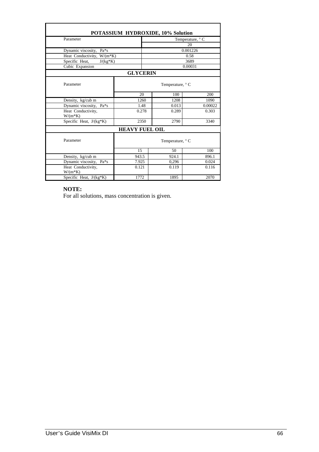|                                 |                       | POTASSIUM HYDROXIDE, 10% Solution |          |  |
|---------------------------------|-----------------------|-----------------------------------|----------|--|
| Parameter                       |                       | Temperature, ° C                  |          |  |
|                                 |                       |                                   | 20       |  |
| Dynamic viscosity, Pa*s         |                       |                                   | 0.001226 |  |
| Heat Conductivity, W/(m*K)      |                       |                                   | 0.58     |  |
| Specific Heat,<br>$J/(kg*K)$    |                       |                                   | 3689     |  |
| Cubic Expansion                 |                       |                                   | 0.00031  |  |
|                                 | <b>GLYCERIN</b>       |                                   |          |  |
| Parameter                       |                       | Temperature, ° C                  |          |  |
|                                 | 20                    | 100                               | 200      |  |
| Density, kg/cub m               | 1260                  | 1208                              | 1090     |  |
| Dynamic viscosity,<br>Pa*s      | 1.48                  | 0.013                             | 0.00022  |  |
| Heat Conductivity,<br>$W/(m*K)$ | 0.278                 | 0.289                             | 0.303    |  |
| Specific Heat, $J/(kg*K)$       | 2350                  | 2790                              | 3340     |  |
|                                 | <b>HEAVY FUEL OIL</b> |                                   |          |  |
| Parameter                       | Temperature, ° C      |                                   |          |  |
|                                 | 15                    | 50                                | 100      |  |
| Density, kg/cub m               | 943.5                 | 924.1                             | 896.1    |  |
| Dynamic viscosity,<br>Pa*s      | 7.925                 | 0,296                             | 0.024    |  |
| Heat Conductivity,<br>$W/(m*K)$ | 0.121                 | 0.119                             | 0.116    |  |
| Specific Heat, J/(kg*K)         | 1772                  | 1895                              | 2070     |  |

# **NOTE:**

For all solutions, mass concentration is given.